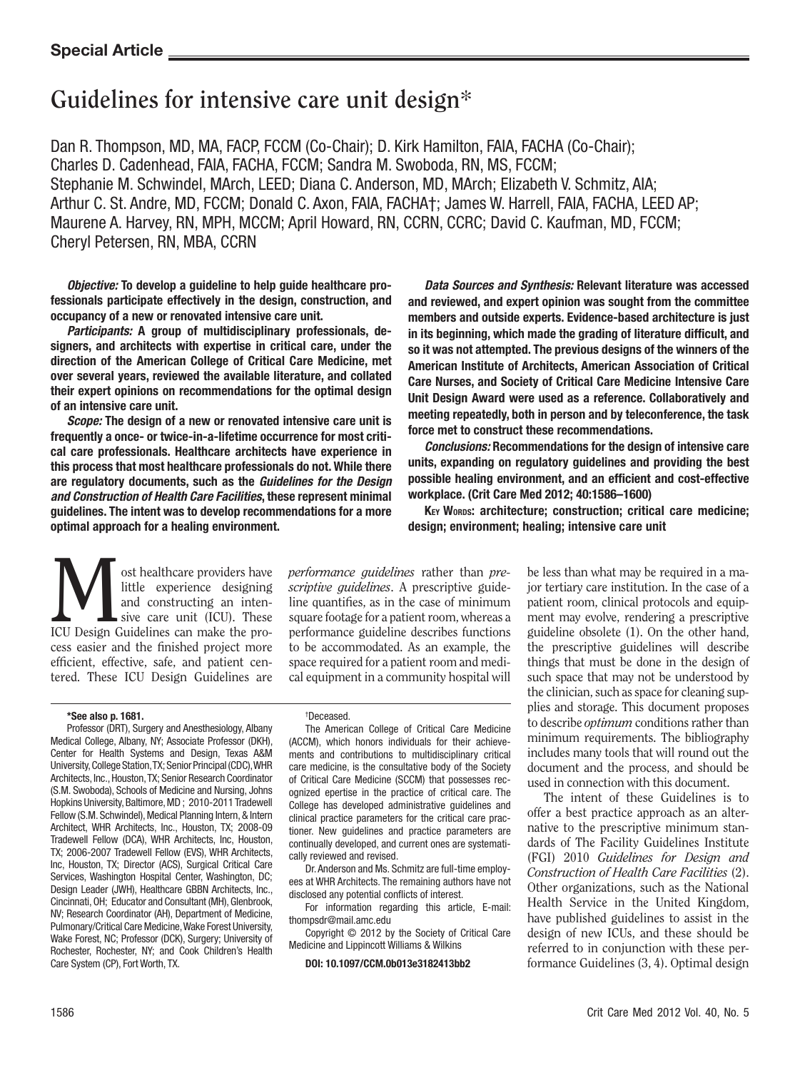# **Guidelines for intensive care unit design\***

Dan R. Thompson, MD, MA, FACP, FCCM (Co-Chair); D. Kirk Hamilton, FAIA, FACHA (Co-Chair); Charles D. Cadenhead, FAIA, FACHA, FCCM; Sandra M. Swoboda, RN, MS, FCCM; Stephanie M. Schwindel, MArch, LEED; Diana C. Anderson, MD, MArch; Elizabeth V. Schmitz, AIA; Arthur C. St. Andre, MD, FCCM; Donald C. Axon, FAIA, FACHA†; James W. Harrell, FAIA, FACHA, LEED AP; Maurene A. Harvey, RN, MPH, MCCM; April Howard, RN, CCRN, CCRC; David C. Kaufman, MD, FCCM; Cheryl Petersen, RN, MBA, CCRN

*Objective:* To develop a guideline to help guide healthcare professionals participate effectively in the design, construction, and occupancy of a new or renovated intensive care unit.

*Participants:* A group of multidisciplinary professionals, designers, and architects with expertise in critical care, under the direction of the American College of Critical Care Medicine, met over several years, reviewed the available literature, and collated their expert opinions on recommendations for the optimal design of an intensive care unit.

*Scope:* The design of a new or renovated intensive care unit is frequently a once- or twice-in-a-lifetime occurrence for most critical care professionals. Healthcare architects have experience in this process that most healthcare professionals do not. While there are regulatory documents, such as the *Guidelines for the Design and Construction of Health Care Facilities*, these represent minimal guidelines. The intent was to develop recommendations for a more optimal approach for a healing environment.

*Data Sources and Synthesis:* Relevant literature was accessed and reviewed, and expert opinion was sought from the committee members and outside experts. Evidence-based architecture is just in its beginning, which made the grading of literature difficult, and so it was not attempted. The previous designs of the winners of the American Institute of Architects, American Association of Critical Care Nurses, and Society of Critical Care Medicine Intensive Care Unit Design Award were used as a reference. Collaboratively and meeting repeatedly, both in person and by teleconference, the task force met to construct these recommendations.

*Conclusions:* Recommendations for the design of intensive care units, expanding on regulatory guidelines and providing the best possible healing environment, and an efficient and cost-effective workplace. (Crit Care Med 2012; 40:1586–1600)

KEY WORDS: architecture; construction; critical care medicine; design; environment; healing; intensive care unit

**M** ost healthcare providers have little experience designing and constructing an inten-<br>ICU Design Guidelines can make the prolittle experience designing and constructing an intensive care unit (ICU). These cess easier and the finished project more efficient, effective, safe, and patient centered. These ICU Design Guidelines are

*performance guidelines* rather than *prescriptive guidelines*. A prescriptive guideline quantifies, as in the case of minimum square footage for a patient room, whereas a performance guideline describes functions to be accommodated. As an example, the space required for a patient room and medical equipment in a community hospital will

#### \*See also p. 1681.

Professor (DRT), Surgery and Anesthesiology, Albany Medical College, Albany, NY; Associate Professor (DKH), Center for Health Systems and Design, Texas A&M University, College Station, TX; Senior Principal (CDC), WHR Architects, Inc., Houston, TX; Senior Research Coordinator (S.M. Swoboda), Schools of Medicine and Nursing, Johns Hopkins University, Baltimore, MD ; 2010-2011 Tradewell Fellow (S.M. Schwindel), Medical Planning Intern, & Intern Architect, WHR Architects, Inc., Houston, TX; 2008-09 Tradewell Fellow (DCA), WHR Architects, Inc, Houston, TX; 2006-2007 Tradewell Fellow (EVS), WHR Architects, Inc, Houston, TX; Director (ACS), Surgical Critical Care Services, Washington Hospital Center, Washington, DC; Design Leader (JWH), Healthcare GBBN Architects, Inc., Cincinnati, OH; Educator and Consultant (MH), Glenbrook, NV; Research Coordinator (AH), Department of Medicine, Pulmonary/Critical Care Medicine, Wake Forest University, Wake Forest, NC; Professor (DCK), Surgery; University of Rochester, Rochester, NY; and Cook Children's Health Care System (CP), Fort Worth, TX.

#### † Deceased.

The American College of Critical Care Medicine (ACCM), which honors individuals for their achievements and contributions to multidisciplinary critical care medicine, is the consultative body of the Society of Critical Care Medicine (SCCM) that possesses recognized epertise in the practice of critical care. The College has developed administrative guidelines and clinical practice parameters for the critical care practioner. New guidelines and practice parameters are continually developed, and current ones are systematically reviewed and revised.

Dr. Anderson and Ms. Schmitz are full-time employees at WHR Architects. The remaining authors have not disclosed any potential conflicts of interest.

For information regarding this article, E-mail: thompsdr@mail.amc.edu

Copyright © 2012 by the Society of Critical Care Medicine and Lippincott Williams & Wilkins

#### DOI: 10.1097/CCM.0b013e3182413bb2

be less than what may be required in a major tertiary care institution. In the case of a patient room, clinical protocols and equipment may evolve, rendering a prescriptive guideline obsolete (1). On the other hand, the prescriptive guidelines will describe things that must be done in the design of such space that may not be understood by the clinician, such as space for cleaning supplies and storage. This document proposes to describe *optimum* conditions rather than minimum requirements. The bibliography includes many tools that will round out the document and the process, and should be used in connection with this document.

The intent of these Guidelines is to offer a best practice approach as an alternative to the prescriptive minimum standards of The Facility Guidelines Institute (FGI) 2010 *Guidelines for Design and Construction of Health Care Facilities* (2). Other organizations, such as the National Health Service in the United Kingdom, have published guidelines to assist in the design of new ICUs, and these should be referred to in conjunction with these performance Guidelines (3, 4). Optimal design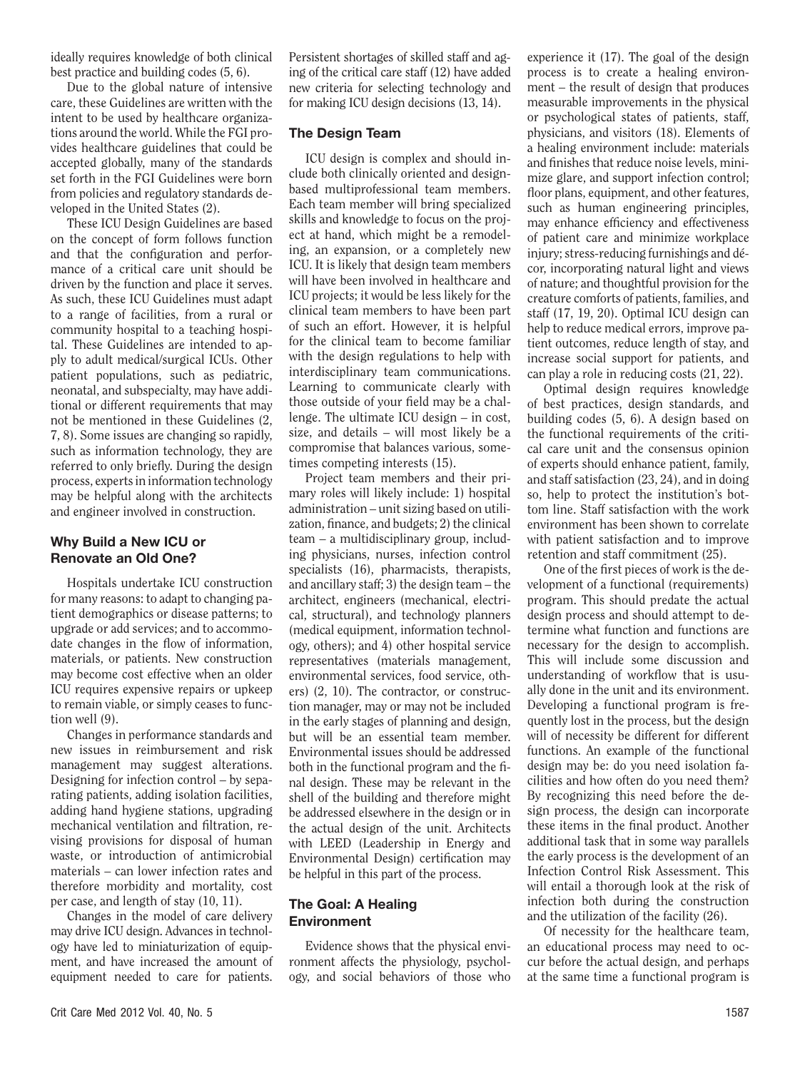ideally requires knowledge of both clinical best practice and building codes (5, 6).

Due to the global nature of intensive care, these Guidelines are written with the intent to be used by healthcare organizations around the world. While the FGI provides healthcare guidelines that could be accepted globally, many of the standards set forth in the FGI Guidelines were born from policies and regulatory standards developed in the United States (2).

These ICU Design Guidelines are based on the concept of form follows function and that the configuration and performance of a critical care unit should be driven by the function and place it serves. As such, these ICU Guidelines must adapt to a range of facilities, from a rural or community hospital to a teaching hospital. These Guidelines are intended to apply to adult medical/surgical ICUs. Other patient populations, such as pediatric, neonatal, and subspecialty, may have additional or different requirements that may not be mentioned in these Guidelines (2, 7, 8). Some issues are changing so rapidly, such as information technology, they are referred to only briefly. During the design process, experts in information technology may be helpful along with the architects and engineer involved in construction.

# Why Build a New ICU or Renovate an Old One?

Hospitals undertake ICU construction for many reasons: to adapt to changing patient demographics or disease patterns; to upgrade or add services; and to accommodate changes in the flow of information, materials, or patients. New construction may become cost effective when an older ICU requires expensive repairs or upkeep to remain viable, or simply ceases to function well (9).

Changes in performance standards and new issues in reimbursement and risk management may suggest alterations. Designing for infection control – by separating patients, adding isolation facilities, adding hand hygiene stations, upgrading mechanical ventilation and filtration, revising provisions for disposal of human waste, or introduction of antimicrobial materials – can lower infection rates and therefore morbidity and mortality, cost per case, and length of stay (10, 11).

Changes in the model of care delivery may drive ICU design. Advances in technology have led to miniaturization of equipment, and have increased the amount of equipment needed to care for patients.

Persistent shortages of skilled staff and aging of the critical care staff (12) have added new criteria for selecting technology and for making ICU design decisions (13, 14).

# The Design Team

ICU design is complex and should include both clinically oriented and designbased multiprofessional team members. Each team member will bring specialized skills and knowledge to focus on the project at hand, which might be a remodeling, an expansion, or a completely new ICU. It is likely that design team members will have been involved in healthcare and ICU projects; it would be less likely for the clinical team members to have been part of such an effort. However, it is helpful for the clinical team to become familiar with the design regulations to help with interdisciplinary team communications. Learning to communicate clearly with those outside of your field may be a challenge. The ultimate ICU design – in cost, size, and details – will most likely be a compromise that balances various, sometimes competing interests (15).

Project team members and their primary roles will likely include: 1) hospital administration – unit sizing based on utilization, finance, and budgets; 2) the clinical team – a multidisciplinary group, including physicians, nurses, infection control specialists (16), pharmacists, therapists, and ancillary staff; 3) the design team – the architect, engineers (mechanical, electrical, structural), and technology planners (medical equipment, information technology, others); and 4) other hospital service representatives (materials management, environmental services, food service, others) (2, 10). The contractor, or construction manager, may or may not be included in the early stages of planning and design, but will be an essential team member. Environmental issues should be addressed both in the functional program and the final design. These may be relevant in the shell of the building and therefore might be addressed elsewhere in the design or in the actual design of the unit. Architects with LEED (Leadership in Energy and Environmental Design) certification may be helpful in this part of the process.

# The Goal: A Healing Environment

Evidence shows that the physical environment affects the physiology, psychology, and social behaviors of those who experience it (17). The goal of the design process is to create a healing environment – the result of design that produces measurable improvements in the physical or psychological states of patients, staff, physicians, and visitors (18). Elements of a healing environment include: materials and finishes that reduce noise levels, minimize glare, and support infection control; floor plans, equipment, and other features, such as human engineering principles, may enhance efficiency and effectiveness of patient care and minimize workplace injury; stress-reducing furnishings and décor, incorporating natural light and views of nature; and thoughtful provision for the creature comforts of patients, families, and staff (17, 19, 20). Optimal ICU design can help to reduce medical errors, improve patient outcomes, reduce length of stay, and increase social support for patients, and can play a role in reducing costs (21, 22).

Optimal design requires knowledge of best practices, design standards, and building codes (5, 6). A design based on the functional requirements of the critical care unit and the consensus opinion of experts should enhance patient, family, and staff satisfaction (23, 24), and in doing so, help to protect the institution's bottom line. Staff satisfaction with the work environment has been shown to correlate with patient satisfaction and to improve retention and staff commitment (25).

One of the first pieces of work is the development of a functional (requirements) program. This should predate the actual design process and should attempt to determine what function and functions are necessary for the design to accomplish. This will include some discussion and understanding of workflow that is usually done in the unit and its environment. Developing a functional program is frequently lost in the process, but the design will of necessity be different for different functions. An example of the functional design may be: do you need isolation facilities and how often do you need them? By recognizing this need before the design process, the design can incorporate these items in the final product. Another additional task that in some way parallels the early process is the development of an Infection Control Risk Assessment. This will entail a thorough look at the risk of infection both during the construction and the utilization of the facility (26).

Of necessity for the healthcare team, an educational process may need to occur before the actual design, and perhaps at the same time a functional program is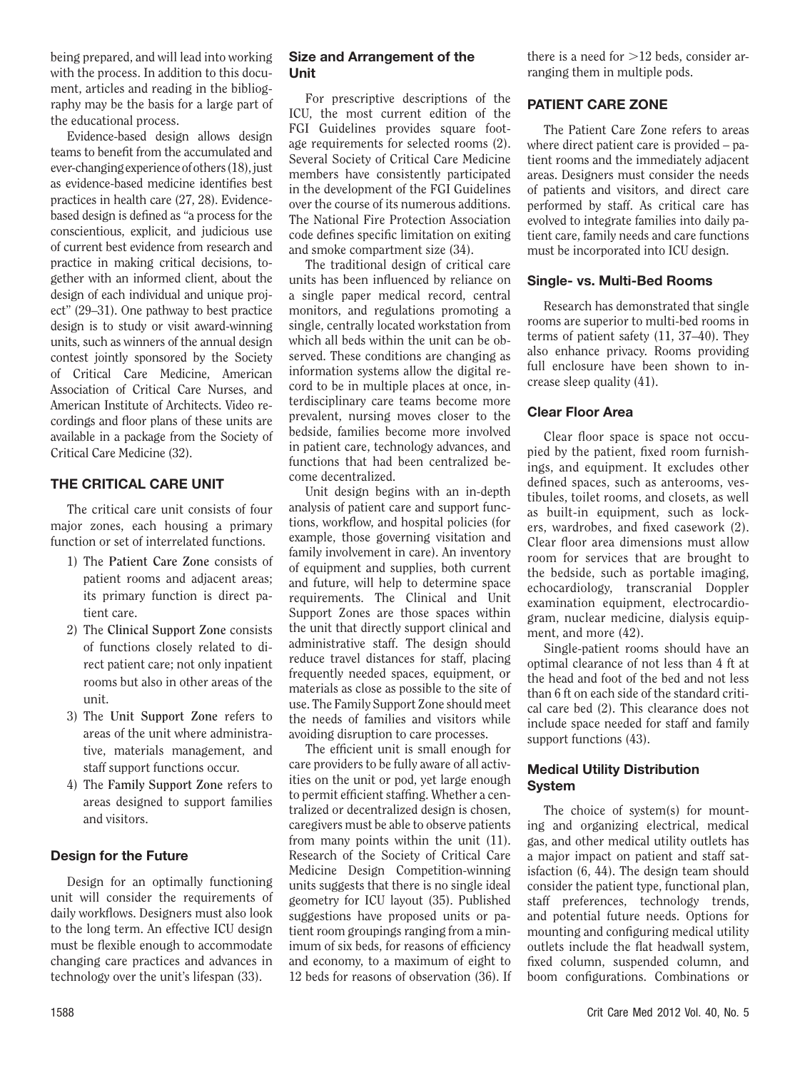being prepared, and will lead into working with the process. In addition to this document, articles and reading in the bibliography may be the basis for a large part of the educational process.

Evidence-based design allows design teams to benefit from the accumulated and ever-changing experience of others (18), just as evidence-based medicine identifies best practices in health care (27, 28). Evidencebased design is defined as "a process for the conscientious, explicit, and judicious use of current best evidence from research and practice in making critical decisions, together with an informed client, about the design of each individual and unique project" (29–31). One pathway to best practice design is to study or visit award-winning units, such as winners of the annual design contest jointly sponsored by the Society of Critical Care Medicine, American Association of Critical Care Nurses, and American Institute of Architects. Video recordings and floor plans of these units are available in a package from the Society of Critical Care Medicine (32).

# THE CRITICAL CARE UNIT

The critical care unit consists of four major zones, each housing a primary function or set of interrelated functions.

- 1) The **Patient Care Zone** consists of patient rooms and adjacent areas; its primary function is direct patient care.
- 2) The **Clinical Support Zone** consists of functions closely related to direct patient care; not only inpatient rooms but also in other areas of the unit.
- 3) The **Unit Support Zone** refers to areas of the unit where administrative, materials management, and staff support functions occur.
- 4) The **Family Support Zone** refers to areas designed to support families and visitors.

# Design for the Future

Design for an optimally functioning unit will consider the requirements of daily workflows. Designers must also look to the long term. An effective ICU design must be flexible enough to accommodate changing care practices and advances in technology over the unit's lifespan (33).

# Size and Arrangement of the Unit

For prescriptive descriptions of the ICU, the most current edition of the FGI Guidelines provides square footage requirements for selected rooms (2). Several Society of Critical Care Medicine members have consistently participated in the development of the FGI Guidelines over the course of its numerous additions. The National Fire Protection Association code defines specific limitation on exiting and smoke compartment size (34).

The traditional design of critical care units has been influenced by reliance on a single paper medical record, central monitors, and regulations promoting a single, centrally located workstation from which all beds within the unit can be observed. These conditions are changing as information systems allow the digital record to be in multiple places at once, interdisciplinary care teams become more prevalent, nursing moves closer to the bedside, families become more involved in patient care, technology advances, and functions that had been centralized become decentralized.

Unit design begins with an in-depth analysis of patient care and support functions, workflow, and hospital policies (for example, those governing visitation and family involvement in care). An inventory of equipment and supplies, both current and future, will help to determine space requirements. The Clinical and Unit Support Zones are those spaces within the unit that directly support clinical and administrative staff. The design should reduce travel distances for staff, placing frequently needed spaces, equipment, or materials as close as possible to the site of use. The Family Support Zone should meet the needs of families and visitors while avoiding disruption to care processes.

The efficient unit is small enough for care providers to be fully aware of all activities on the unit or pod, yet large enough to permit efficient staffing. Whether a centralized or decentralized design is chosen, caregivers must be able to observe patients from many points within the unit (11). Research of the Society of Critical Care Medicine Design Competition-winning units suggests that there is no single ideal geometry for ICU layout (35). Published suggestions have proposed units or patient room groupings ranging from a minimum of six beds, for reasons of efficiency and economy, to a maximum of eight to 12 beds for reasons of observation (36). If there is a need for  $>12$  beds, consider arranging them in multiple pods.

# PATIENT CARE ZONE

The Patient Care Zone refers to areas where direct patient care is provided – patient rooms and the immediately adjacent areas. Designers must consider the needs of patients and visitors, and direct care performed by staff. As critical care has evolved to integrate families into daily patient care, family needs and care functions must be incorporated into ICU design.

# Single- vs. Multi-Bed Rooms

Research has demonstrated that single rooms are superior to multi-bed rooms in terms of patient safety (11, 37–40). They also enhance privacy. Rooms providing full enclosure have been shown to increase sleep quality (41).

# Clear Floor Area

Clear floor space is space not occupied by the patient, fixed room furnishings, and equipment. It excludes other defined spaces, such as anterooms, vestibules, toilet rooms, and closets, as well as built-in equipment, such as lockers, wardrobes, and fixed casework (2). Clear floor area dimensions must allow room for services that are brought to the bedside, such as portable imaging, echocardiology, transcranial Doppler examination equipment, electrocardiogram, nuclear medicine, dialysis equipment, and more (42).

Single-patient rooms should have an optimal clearance of not less than 4 ft at the head and foot of the bed and not less than 6 ft on each side of the standard critical care bed (2). This clearance does not include space needed for staff and family support functions (43).

# Medical Utility Distribution System

The choice of system(s) for mounting and organizing electrical, medical gas, and other medical utility outlets has a major impact on patient and staff satisfaction (6, 44). The design team should consider the patient type, functional plan, staff preferences, technology trends, and potential future needs. Options for mounting and configuring medical utility outlets include the flat headwall system, fixed column, suspended column, and boom configurations. Combinations or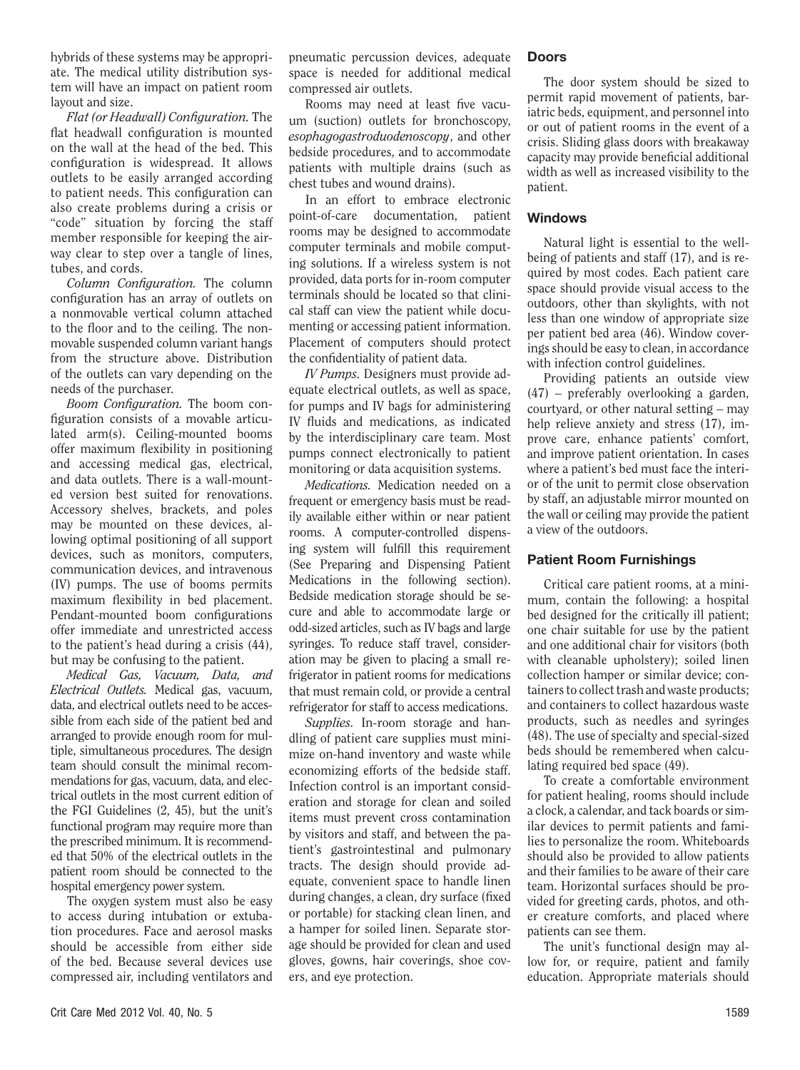hybrids of these systems may be appropriate. The medical utility distribution system will have an impact on patient room layout and size.

*Flat (or Headwall) Configuration.* The flat headwall configuration is mounted on the wall at the head of the bed. This configuration is widespread. It allows outlets to be easily arranged according to patient needs. This configuration can also create problems during a crisis or "code" situation by forcing the staff member responsible for keeping the airway clear to step over a tangle of lines, tubes, and cords.

*Column Configuration.* The column configuration has an array of outlets on a nonmovable vertical column attached to the floor and to the ceiling. The nonmovable suspended column variant hangs from the structure above. Distribution of the outlets can vary depending on the needs of the purchaser.

*Boom Configuration.* The boom configuration consists of a movable articulated arm(s). Ceiling-mounted booms offer maximum flexibility in positioning and accessing medical gas, electrical, and data outlets. There is a wall-mounted version best suited for renovations. Accessory shelves, brackets, and poles may be mounted on these devices, allowing optimal positioning of all support devices, such as monitors, computers, communication devices, and intravenous (IV) pumps. The use of booms permits maximum flexibility in bed placement. Pendant-mounted boom configurations offer immediate and unrestricted access to the patient's head during a crisis (44), but may be confusing to the patient.

*Medical Gas, Vacuum, Data, and Electrical Outlets.* Medical gas, vacuum, data, and electrical outlets need to be accessible from each side of the patient bed and arranged to provide enough room for multiple, simultaneous procedures. The design team should consult the minimal recommendations for gas, vacuum, data, and electrical outlets in the most current edition of the FGI Guidelines (2, 45), but the unit's functional program may require more than the prescribed minimum. It is recommended that 50% of the electrical outlets in the patient room should be connected to the hospital emergency power system.

The oxygen system must also be easy to access during intubation or extubation procedures. Face and aerosol masks should be accessible from either side of the bed. Because several devices use compressed air, including ventilators and pneumatic percussion devices, adequate space is needed for additional medical compressed air outlets.

Rooms may need at least five vacuum (suction) outlets for bronchoscopy, *esophagogastroduodenoscopy*, and other bedside procedures, and to accommodate patients with multiple drains (such as chest tubes and wound drains).

In an effort to embrace electronic point-of-care documentation, patient rooms may be designed to accommodate computer terminals and mobile computing solutions. If a wireless system is not provided, data ports for in-room computer terminals should be located so that clinical staff can view the patient while documenting or accessing patient information. Placement of computers should protect the confidentiality of patient data.

*IV Pumps.* Designers must provide adequate electrical outlets, as well as space, for pumps and IV bags for administering IV fluids and medications, as indicated by the interdisciplinary care team. Most pumps connect electronically to patient monitoring or data acquisition systems.

*Medications.* Medication needed on a frequent or emergency basis must be readily available either within or near patient rooms. A computer-controlled dispensing system will fulfill this requirement (See Preparing and Dispensing Patient Medications in the following section). Bedside medication storage should be secure and able to accommodate large or odd-sized articles, such as IV bags and large syringes. To reduce staff travel, consideration may be given to placing a small refrigerator in patient rooms for medications that must remain cold, or provide a central refrigerator for staff to access medications.

*Supplies.* In-room storage and handling of patient care supplies must minimize on-hand inventory and waste while economizing efforts of the bedside staff. Infection control is an important consideration and storage for clean and soiled items must prevent cross contamination by visitors and staff, and between the patient's gastrointestinal and pulmonary tracts. The design should provide adequate, convenient space to handle linen during changes, a clean, dry surface (fixed or portable) for stacking clean linen, and a hamper for soiled linen. Separate storage should be provided for clean and used gloves, gowns, hair coverings, shoe covers, and eye protection.

#### Doors

The door system should be sized to permit rapid movement of patients, bariatric beds, equipment, and personnel into or out of patient rooms in the event of a crisis. Sliding glass doors with breakaway capacity may provide beneficial additional width as well as increased visibility to the patient.

#### Windows

Natural light is essential to the wellbeing of patients and staff (17), and is required by most codes. Each patient care space should provide visual access to the outdoors, other than skylights, with not less than one window of appropriate size per patient bed area (46). Window coverings should be easy to clean, in accordance with infection control guidelines.

Providing patients an outside view (47) – preferably overlooking a garden, courtyard, or other natural setting – may help relieve anxiety and stress  $(17)$ , improve care, enhance patients' comfort, and improve patient orientation. In cases where a patient's bed must face the interior of the unit to permit close observation by staff, an adjustable mirror mounted on the wall or ceiling may provide the patient a view of the outdoors.

#### Patient Room Furnishings

Critical care patient rooms, at a minimum, contain the following: a hospital bed designed for the critically ill patient; one chair suitable for use by the patient and one additional chair for visitors (both with cleanable upholstery); soiled linen collection hamper or similar device; containers to collect trash and waste products; and containers to collect hazardous waste products, such as needles and syringes (48). The use of specialty and special-sized beds should be remembered when calculating required bed space (49).

To create a comfortable environment for patient healing, rooms should include a clock, a calendar, and tack boards or similar devices to permit patients and families to personalize the room. Whiteboards should also be provided to allow patients and their families to be aware of their care team. Horizontal surfaces should be provided for greeting cards, photos, and other creature comforts, and placed where patients can see them.

The unit's functional design may allow for, or require, patient and family education. Appropriate materials should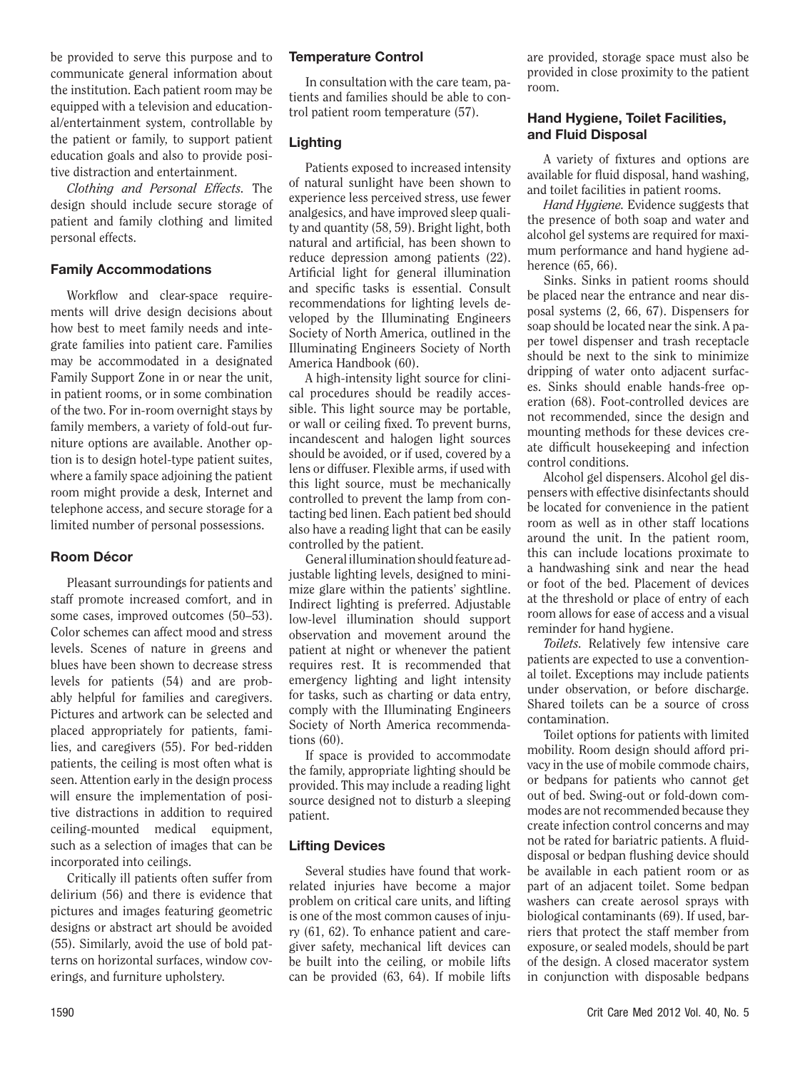be provided to serve this purpose and to communicate general information about the institution. Each patient room may be equipped with a television and educational/entertainment system, controllable by the patient or family, to support patient education goals and also to provide positive distraction and entertainment.

*Clothing and Personal Effects.* The design should include secure storage of patient and family clothing and limited personal effects.

# Family Accommodations

Workflow and clear-space requirements will drive design decisions about how best to meet family needs and integrate families into patient care. Families may be accommodated in a designated Family Support Zone in or near the unit, in patient rooms, or in some combination of the two. For in-room overnight stays by family members, a variety of fold-out furniture options are available. Another option is to design hotel-type patient suites, where a family space adjoining the patient room might provide a desk, Internet and telephone access, and secure storage for a limited number of personal possessions.

#### Room Décor

Pleasant surroundings for patients and staff promote increased comfort, and in some cases, improved outcomes (50–53). Color schemes can affect mood and stress levels. Scenes of nature in greens and blues have been shown to decrease stress levels for patients (54) and are probably helpful for families and caregivers. Pictures and artwork can be selected and placed appropriately for patients, families, and caregivers (55). For bed-ridden patients, the ceiling is most often what is seen. Attention early in the design process will ensure the implementation of positive distractions in addition to required ceiling-mounted medical equipment, such as a selection of images that can be incorporated into ceilings.

Critically ill patients often suffer from delirium (56) and there is evidence that pictures and images featuring geometric designs or abstract art should be avoided (55). Similarly, avoid the use of bold patterns on horizontal surfaces, window coverings, and furniture upholstery.

#### Temperature Control

In consultation with the care team, patients and families should be able to control patient room temperature (57).

#### Lighting

Patients exposed to increased intensity of natural sunlight have been shown to experience less perceived stress, use fewer analgesics, and have improved sleep quality and quantity (58, 59). Bright light, both natural and artificial, has been shown to reduce depression among patients (22). Artificial light for general illumination and specific tasks is essential. Consult recommendations for lighting levels developed by the Illuminating Engineers Society of North America, outlined in the Illuminating Engineers Society of North America Handbook (60).

A high-intensity light source for clinical procedures should be readily accessible. This light source may be portable, or wall or ceiling fixed. To prevent burns, incandescent and halogen light sources should be avoided, or if used, covered by a lens or diffuser. Flexible arms, if used with this light source, must be mechanically controlled to prevent the lamp from contacting bed linen. Each patient bed should also have a reading light that can be easily controlled by the patient.

General illumination should feature adjustable lighting levels, designed to minimize glare within the patients' sightline. Indirect lighting is preferred. Adjustable low-level illumination should support observation and movement around the patient at night or whenever the patient requires rest. It is recommended that emergency lighting and light intensity for tasks, such as charting or data entry, comply with the Illuminating Engineers Society of North America recommendations (60).

If space is provided to accommodate the family, appropriate lighting should be provided. This may include a reading light source designed not to disturb a sleeping patient.

#### Lifting Devices

Several studies have found that workrelated injuries have become a major problem on critical care units, and lifting is one of the most common causes of injury (61, 62). To enhance patient and caregiver safety, mechanical lift devices can be built into the ceiling, or mobile lifts can be provided (63, 64). If mobile lifts are provided, storage space must also be provided in close proximity to the patient room.

#### Hand Hygiene, Toilet Facilities, and Fluid Disposal

A variety of fixtures and options are available for fluid disposal, hand washing, and toilet facilities in patient rooms.

*Hand Hygiene.* Evidence suggests that the presence of both soap and water and alcohol gel systems are required for maximum performance and hand hygiene adherence (65, 66).

Sinks. Sinks in patient rooms should be placed near the entrance and near disposal systems (2, 66, 67). Dispensers for soap should be located near the sink. A paper towel dispenser and trash receptacle should be next to the sink to minimize dripping of water onto adjacent surfaces. Sinks should enable hands-free operation (68). Foot-controlled devices are not recommended, since the design and mounting methods for these devices create difficult housekeeping and infection control conditions.

Alcohol gel dispensers. Alcohol gel dispensers with effective disinfectants should be located for convenience in the patient room as well as in other staff locations around the unit. In the patient room, this can include locations proximate to a handwashing sink and near the head or foot of the bed. Placement of devices at the threshold or place of entry of each room allows for ease of access and a visual reminder for hand hygiene.

*Toilets.* Relatively few intensive care patients are expected to use a conventional toilet. Exceptions may include patients under observation, or before discharge. Shared toilets can be a source of cross contamination.

Toilet options for patients with limited mobility. Room design should afford privacy in the use of mobile commode chairs, or bedpans for patients who cannot get out of bed. Swing-out or fold-down commodes are not recommended because they create infection control concerns and may not be rated for bariatric patients. A fluiddisposal or bedpan flushing device should be available in each patient room or as part of an adjacent toilet. Some bedpan washers can create aerosol sprays with biological contaminants (69). If used, barriers that protect the staff member from exposure, or sealed models, should be part of the design. A closed macerator system in conjunction with disposable bedpans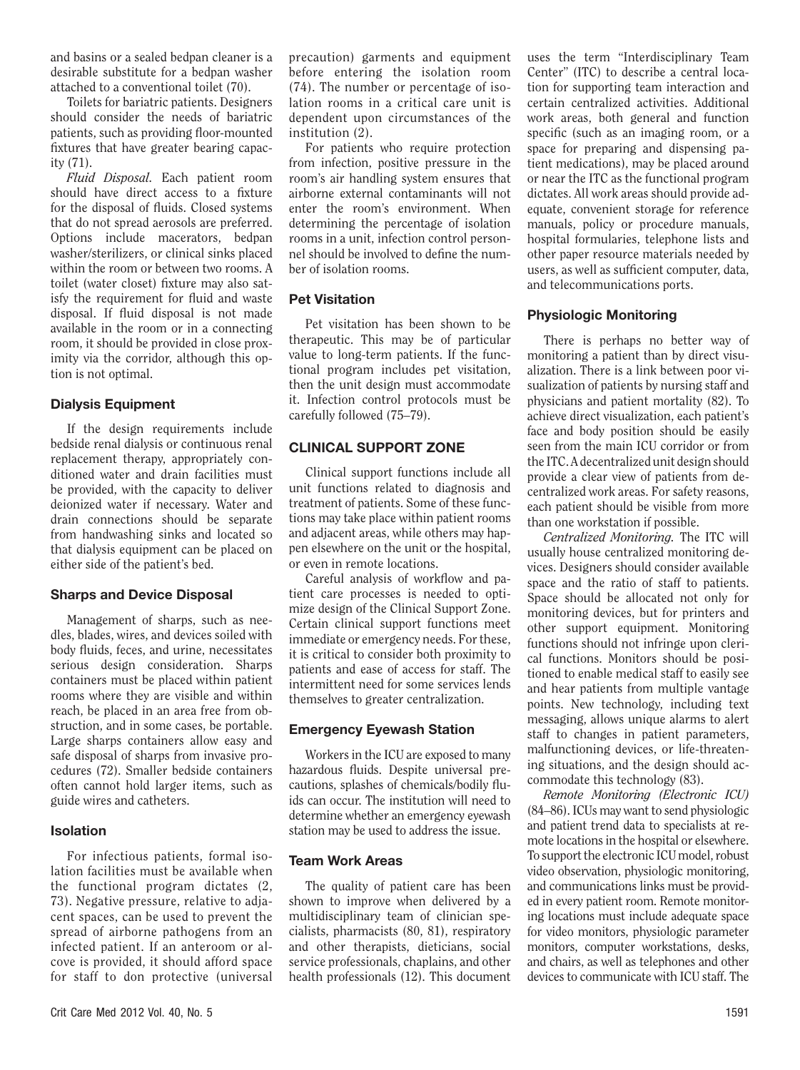and basins or a sealed bedpan cleaner is a desirable substitute for a bedpan washer attached to a conventional toilet (70).

Toilets for bariatric patients. Designers should consider the needs of bariatric patients, such as providing floor-mounted fixtures that have greater bearing capacity (71).

*Fluid Disposal.* Each patient room should have direct access to a fixture for the disposal of fluids. Closed systems that do not spread aerosols are preferred. Options include macerators, bedpan washer/sterilizers, or clinical sinks placed within the room or between two rooms. A toilet (water closet) fixture may also satisfy the requirement for fluid and waste disposal. If fluid disposal is not made available in the room or in a connecting room, it should be provided in close proximity via the corridor, although this option is not optimal.

# Dialysis Equipment

If the design requirements include bedside renal dialysis or continuous renal replacement therapy, appropriately conditioned water and drain facilities must be provided, with the capacity to deliver deionized water if necessary. Water and drain connections should be separate from handwashing sinks and located so that dialysis equipment can be placed on either side of the patient's bed.

# Sharps and Device Disposal

Management of sharps, such as needles, blades, wires, and devices soiled with body fluids, feces, and urine, necessitates serious design consideration. Sharps containers must be placed within patient rooms where they are visible and within reach, be placed in an area free from obstruction, and in some cases, be portable. Large sharps containers allow easy and safe disposal of sharps from invasive procedures (72). Smaller bedside containers often cannot hold larger items, such as guide wires and catheters.

# Isolation

For infectious patients, formal isolation facilities must be available when the functional program dictates (2, 73). Negative pressure, relative to adjacent spaces, can be used to prevent the spread of airborne pathogens from an infected patient. If an anteroom or alcove is provided, it should afford space for staff to don protective (universal precaution) garments and equipment before entering the isolation room (74). The number or percentage of isolation rooms in a critical care unit is dependent upon circumstances of the institution (2).

For patients who require protection from infection, positive pressure in the room's air handling system ensures that airborne external contaminants will not enter the room's environment. When determining the percentage of isolation rooms in a unit, infection control personnel should be involved to define the number of isolation rooms.

# Pet Visitation

Pet visitation has been shown to be therapeutic. This may be of particular value to long-term patients. If the functional program includes pet visitation, then the unit design must accommodate it. Infection control protocols must be carefully followed (75–79).

# CLINICAL SUPPORT ZONE

Clinical support functions include all unit functions related to diagnosis and treatment of patients. Some of these functions may take place within patient rooms and adjacent areas, while others may happen elsewhere on the unit or the hospital, or even in remote locations.

Careful analysis of workflow and patient care processes is needed to optimize design of the Clinical Support Zone. Certain clinical support functions meet immediate or emergency needs. For these, it is critical to consider both proximity to patients and ease of access for staff. The intermittent need for some services lends themselves to greater centralization.

# Emergency Eyewash Station

Workers in the ICU are exposed to many hazardous fluids. Despite universal precautions, splashes of chemicals/bodily fluids can occur. The institution will need to determine whether an emergency eyewash station may be used to address the issue.

# Team Work Areas

The quality of patient care has been shown to improve when delivered by a multidisciplinary team of clinician specialists, pharmacists (80, 81), respiratory and other therapists, dieticians, social service professionals, chaplains, and other health professionals (12). This document uses the term "Interdisciplinary Team Center" (ITC) to describe a central location for supporting team interaction and certain centralized activities. Additional work areas, both general and function specific (such as an imaging room, or a space for preparing and dispensing patient medications), may be placed around or near the ITC as the functional program dictates. All work areas should provide adequate, convenient storage for reference manuals, policy or procedure manuals, hospital formularies, telephone lists and other paper resource materials needed by users, as well as sufficient computer, data, and telecommunications ports.

# Physiologic Monitoring

There is perhaps no better way of monitoring a patient than by direct visualization. There is a link between poor visualization of patients by nursing staff and physicians and patient mortality (82). To achieve direct visualization, each patient's face and body position should be easily seen from the main ICU corridor or from the ITC. A decentralized unit design should provide a clear view of patients from decentralized work areas. For safety reasons, each patient should be visible from more than one workstation if possible.

*Centralized Monitoring.* The ITC will usually house centralized monitoring devices. Designers should consider available space and the ratio of staff to patients. Space should be allocated not only for monitoring devices, but for printers and other support equipment. Monitoring functions should not infringe upon clerical functions. Monitors should be positioned to enable medical staff to easily see and hear patients from multiple vantage points. New technology, including text messaging, allows unique alarms to alert staff to changes in patient parameters, malfunctioning devices, or life-threatening situations, and the design should accommodate this technology (83).

*Remote Monitoring (Electronic ICU)* (84–86). ICUs may want to send physiologic and patient trend data to specialists at remote locations in the hospital or elsewhere. To support the electronic ICU model, robust video observation, physiologic monitoring, and communications links must be provided in every patient room. Remote monitoring locations must include adequate space for video monitors, physiologic parameter monitors, computer workstations, desks, and chairs, as well as telephones and other devices to communicate with ICU staff. The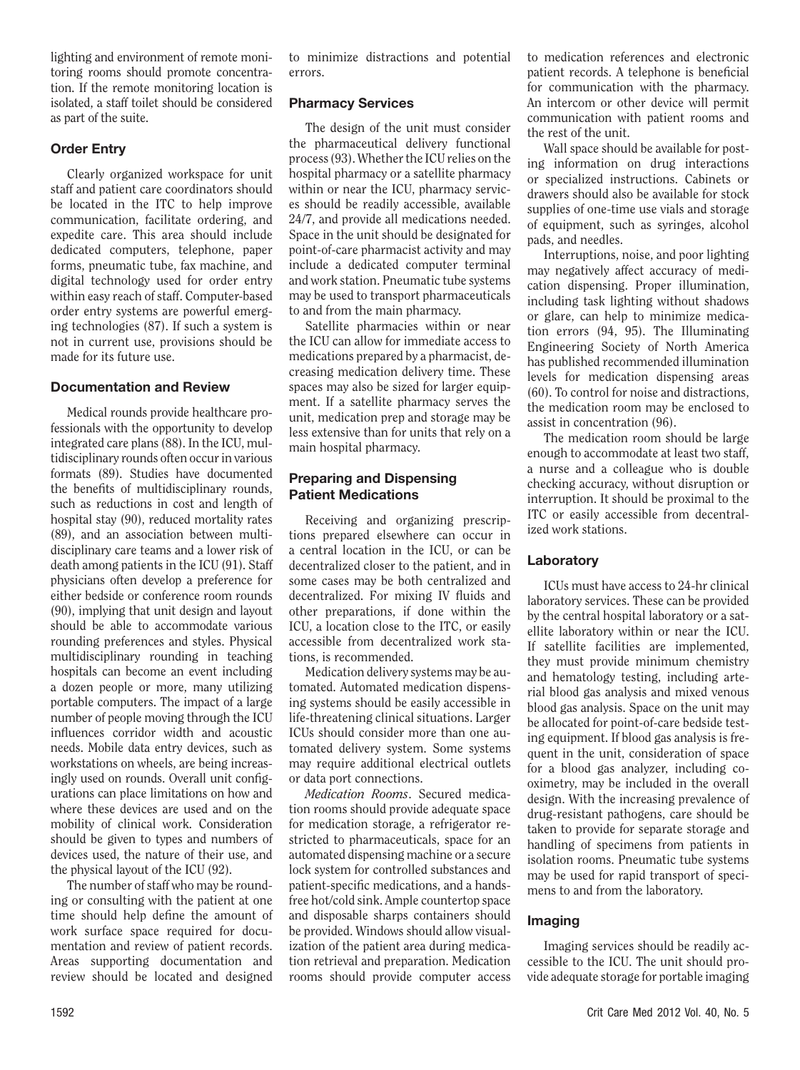lighting and environment of remote monitoring rooms should promote concentration. If the remote monitoring location is isolated, a staff toilet should be considered as part of the suite.

# Order Entry

Clearly organized workspace for unit staff and patient care coordinators should be located in the ITC to help improve communication, facilitate ordering, and expedite care. This area should include dedicated computers, telephone, paper forms, pneumatic tube, fax machine, and digital technology used for order entry within easy reach of staff. Computer-based order entry systems are powerful emerging technologies (87). If such a system is not in current use, provisions should be made for its future use.

# Documentation and Review

Medical rounds provide healthcare professionals with the opportunity to develop integrated care plans (88). In the ICU, multidisciplinary rounds often occur in various formats (89). Studies have documented the benefits of multidisciplinary rounds, such as reductions in cost and length of hospital stay (90), reduced mortality rates (89), and an association between multidisciplinary care teams and a lower risk of death among patients in the ICU (91). Staff physicians often develop a preference for either bedside or conference room rounds (90), implying that unit design and layout should be able to accommodate various rounding preferences and styles. Physical multidisciplinary rounding in teaching hospitals can become an event including a dozen people or more, many utilizing portable computers. The impact of a large number of people moving through the ICU influences corridor width and acoustic needs. Mobile data entry devices, such as workstations on wheels, are being increasingly used on rounds. Overall unit configurations can place limitations on how and where these devices are used and on the mobility of clinical work. Consideration should be given to types and numbers of devices used, the nature of their use, and the physical layout of the ICU (92).

The number of staff who may be rounding or consulting with the patient at one time should help define the amount of work surface space required for documentation and review of patient records. Areas supporting documentation and review should be located and designed

to minimize distractions and potential errors.

# Pharmacy Services

The design of the unit must consider the pharmaceutical delivery functional process (93). Whether the ICU relies on the hospital pharmacy or a satellite pharmacy within or near the ICU, pharmacy services should be readily accessible, available 24/7, and provide all medications needed. Space in the unit should be designated for point-of-care pharmacist activity and may include a dedicated computer terminal and work station. Pneumatic tube systems may be used to transport pharmaceuticals to and from the main pharmacy.

Satellite pharmacies within or near the ICU can allow for immediate access to medications prepared by a pharmacist, decreasing medication delivery time. These spaces may also be sized for larger equipment. If a satellite pharmacy serves the unit, medication prep and storage may be less extensive than for units that rely on a main hospital pharmacy.

# Preparing and Dispensing Patient Medications

Receiving and organizing prescriptions prepared elsewhere can occur in a central location in the ICU, or can be decentralized closer to the patient, and in some cases may be both centralized and decentralized. For mixing IV fluids and other preparations, if done within the ICU, a location close to the ITC, or easily accessible from decentralized work stations, is recommended.

Medication delivery systems may be automated. Automated medication dispensing systems should be easily accessible in life-threatening clinical situations. Larger ICUs should consider more than one automated delivery system. Some systems may require additional electrical outlets or data port connections.

*Medication Rooms*. Secured medication rooms should provide adequate space for medication storage, a refrigerator restricted to pharmaceuticals, space for an automated dispensing machine or a secure lock system for controlled substances and patient-specific medications, and a handsfree hot/cold sink. Ample countertop space and disposable sharps containers should be provided. Windows should allow visualization of the patient area during medication retrieval and preparation. Medication rooms should provide computer access to medication references and electronic patient records. A telephone is beneficial for communication with the pharmacy. An intercom or other device will permit communication with patient rooms and the rest of the unit.

Wall space should be available for posting information on drug interactions or specialized instructions. Cabinets or drawers should also be available for stock supplies of one-time use vials and storage of equipment, such as syringes, alcohol pads, and needles.

Interruptions, noise, and poor lighting may negatively affect accuracy of medication dispensing. Proper illumination, including task lighting without shadows or glare, can help to minimize medication errors (94, 95). The Illuminating Engineering Society of North America has published recommended illumination levels for medication dispensing areas (60). To control for noise and distractions, the medication room may be enclosed to assist in concentration (96).

The medication room should be large enough to accommodate at least two staff, a nurse and a colleague who is double checking accuracy, without disruption or interruption. It should be proximal to the ITC or easily accessible from decentralized work stations.

# Laboratory

ICUs must have access to 24-hr clinical laboratory services. These can be provided by the central hospital laboratory or a satellite laboratory within or near the ICU. If satellite facilities are implemented, they must provide minimum chemistry and hematology testing, including arterial blood gas analysis and mixed venous blood gas analysis. Space on the unit may be allocated for point-of-care bedside testing equipment. If blood gas analysis is frequent in the unit, consideration of space for a blood gas analyzer, including cooximetry, may be included in the overall design. With the increasing prevalence of drug-resistant pathogens, care should be taken to provide for separate storage and handling of specimens from patients in isolation rooms. Pneumatic tube systems may be used for rapid transport of specimens to and from the laboratory.

# Imaging

Imaging services should be readily accessible to the ICU. The unit should provide adequate storage for portable imaging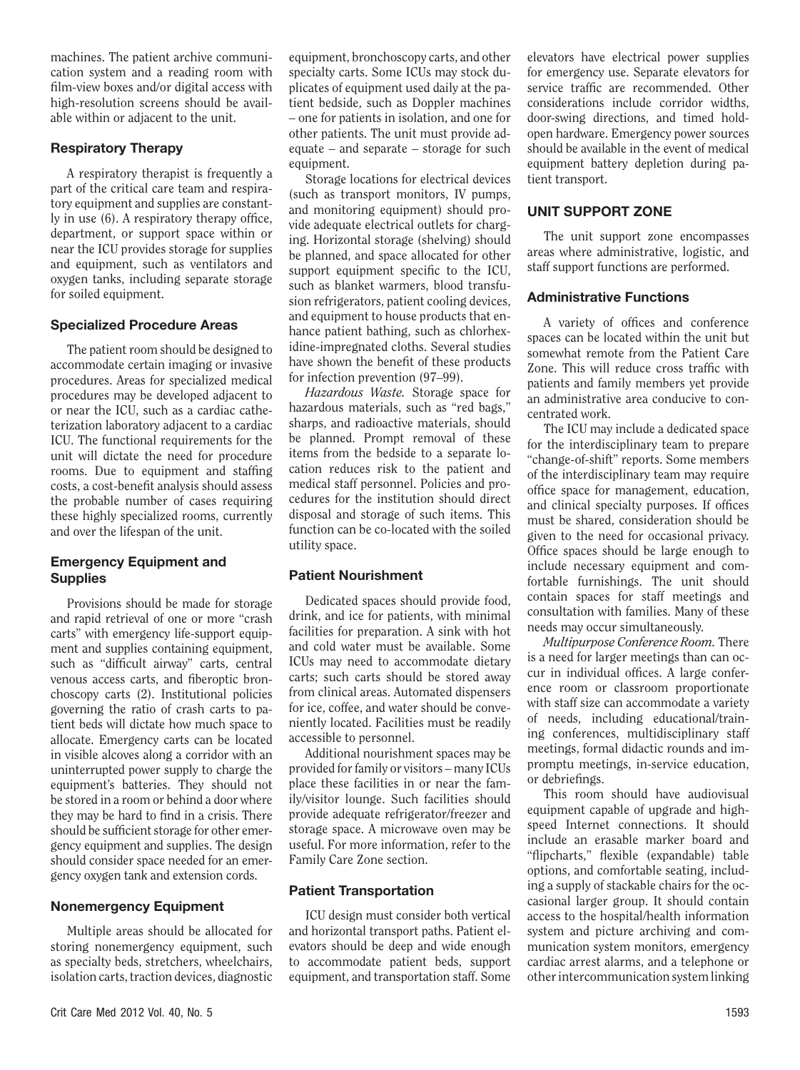machines. The patient archive communication system and a reading room with film-view boxes and/or digital access with high-resolution screens should be available within or adjacent to the unit.

# Respiratory Therapy

A respiratory therapist is frequently a part of the critical care team and respiratory equipment and supplies are constantly in use (6). A respiratory therapy office, department, or support space within or near the ICU provides storage for supplies and equipment, such as ventilators and oxygen tanks, including separate storage for soiled equipment.

# Specialized Procedure Areas

The patient room should be designed to accommodate certain imaging or invasive procedures. Areas for specialized medical procedures may be developed adjacent to or near the ICU, such as a cardiac catheterization laboratory adjacent to a cardiac ICU. The functional requirements for the unit will dictate the need for procedure rooms. Due to equipment and staffing costs, a cost-benefit analysis should assess the probable number of cases requiring these highly specialized rooms, currently and over the lifespan of the unit.

# Emergency Equipment and **Supplies**

Provisions should be made for storage and rapid retrieval of one or more "crash carts" with emergency life-support equipment and supplies containing equipment, such as "difficult airway" carts, central venous access carts, and fiberoptic bronchoscopy carts (2). Institutional policies governing the ratio of crash carts to patient beds will dictate how much space to allocate. Emergency carts can be located in visible alcoves along a corridor with an uninterrupted power supply to charge the equipment's batteries. They should not be stored in a room or behind a door where they may be hard to find in a crisis. There should be sufficient storage for other emergency equipment and supplies. The design should consider space needed for an emergency oxygen tank and extension cords.

# Nonemergency Equipment

Multiple areas should be allocated for storing nonemergency equipment, such as specialty beds, stretchers, wheelchairs, isolation carts, traction devices, diagnostic equipment, bronchoscopy carts, and other specialty carts. Some ICUs may stock duplicates of equipment used daily at the patient bedside, such as Doppler machines – one for patients in isolation, and one for other patients. The unit must provide adequate – and separate – storage for such equipment.

Storage locations for electrical devices (such as transport monitors, IV pumps, and monitoring equipment) should provide adequate electrical outlets for charging. Horizontal storage (shelving) should be planned, and space allocated for other support equipment specific to the ICU, such as blanket warmers, blood transfusion refrigerators, patient cooling devices, and equipment to house products that enhance patient bathing, such as chlorhexidine-impregnated cloths. Several studies have shown the benefit of these products for infection prevention (97–99).

*Hazardous Waste.* Storage space for hazardous materials, such as "red bags," sharps, and radioactive materials, should be planned. Prompt removal of these items from the bedside to a separate location reduces risk to the patient and medical staff personnel. Policies and procedures for the institution should direct disposal and storage of such items. This function can be co-located with the soiled utility space.

# Patient Nourishment

Dedicated spaces should provide food, drink, and ice for patients, with minimal facilities for preparation. A sink with hot and cold water must be available. Some ICUs may need to accommodate dietary carts; such carts should be stored away from clinical areas. Automated dispensers for ice, coffee, and water should be conveniently located. Facilities must be readily accessible to personnel.

Additional nourishment spaces may be provided for family or visitors – many ICUs place these facilities in or near the family/visitor lounge. Such facilities should provide adequate refrigerator/freezer and storage space. A microwave oven may be useful. For more information, refer to the Family Care Zone section.

# Patient Transportation

ICU design must consider both vertical and horizontal transport paths. Patient elevators should be deep and wide enough to accommodate patient beds, support equipment, and transportation staff. Some elevators have electrical power supplies for emergency use. Separate elevators for service traffic are recommended. Other considerations include corridor widths, door-swing directions, and timed holdopen hardware. Emergency power sources should be available in the event of medical equipment battery depletion during patient transport.

# UNIT SUPPORT ZONE

The unit support zone encompasses areas where administrative, logistic, and staff support functions are performed.

# Administrative Functions

A variety of offices and conference spaces can be located within the unit but somewhat remote from the Patient Care Zone. This will reduce cross traffic with patients and family members yet provide an administrative area conducive to concentrated work.

The ICU may include a dedicated space for the interdisciplinary team to prepare "change-of-shift" reports. Some members of the interdisciplinary team may require office space for management, education, and clinical specialty purposes. If offices must be shared, consideration should be given to the need for occasional privacy. Office spaces should be large enough to include necessary equipment and comfortable furnishings. The unit should contain spaces for staff meetings and consultation with families. Many of these needs may occur simultaneously.

*Multipurpose Conference Room.* There is a need for larger meetings than can occur in individual offices. A large conference room or classroom proportionate with staff size can accommodate a variety of needs, including educational/training conferences, multidisciplinary staff meetings, formal didactic rounds and impromptu meetings, in-service education, or debriefings.

This room should have audiovisual equipment capable of upgrade and highspeed Internet connections. It should include an erasable marker board and "flipcharts," flexible (expandable) table options, and comfortable seating, including a supply of stackable chairs for the occasional larger group. It should contain access to the hospital/health information system and picture archiving and communication system monitors, emergency cardiac arrest alarms, and a telephone or other intercommunication system linking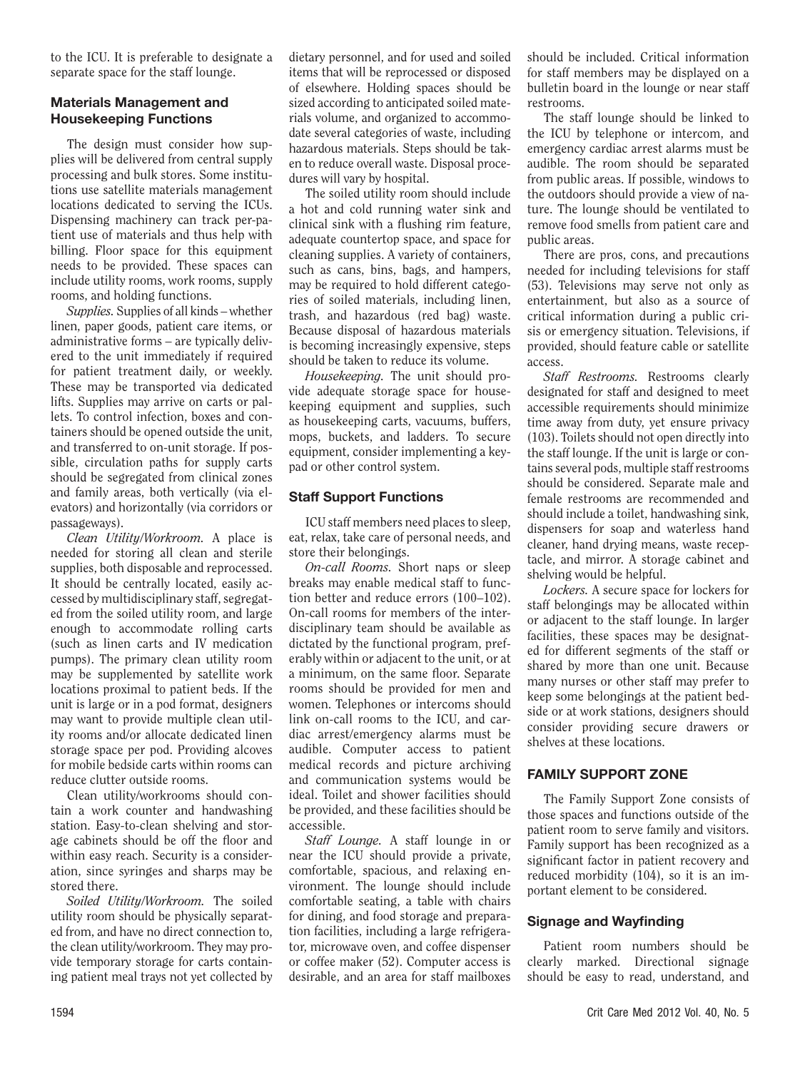to the ICU. It is preferable to designate a separate space for the staff lounge.

# Materials Management and Housekeeping Functions

The design must consider how supplies will be delivered from central supply processing and bulk stores. Some institutions use satellite materials management locations dedicated to serving the ICUs. Dispensing machinery can track per-patient use of materials and thus help with billing. Floor space for this equipment needs to be provided. These spaces can include utility rooms, work rooms, supply rooms, and holding functions.

*Supplies.* Supplies of all kinds – whether linen, paper goods, patient care items, or administrative forms – are typically delivered to the unit immediately if required for patient treatment daily, or weekly. These may be transported via dedicated lifts. Supplies may arrive on carts or pallets. To control infection, boxes and containers should be opened outside the unit, and transferred to on-unit storage. If possible, circulation paths for supply carts should be segregated from clinical zones and family areas, both vertically (via elevators) and horizontally (via corridors or passageways).

*Clean Utility/Workroom.* A place is needed for storing all clean and sterile supplies, both disposable and reprocessed. It should be centrally located, easily accessed by multidisciplinary staff, segregated from the soiled utility room, and large enough to accommodate rolling carts (such as linen carts and IV medication pumps). The primary clean utility room may be supplemented by satellite work locations proximal to patient beds. If the unit is large or in a pod format, designers may want to provide multiple clean utility rooms and/or allocate dedicated linen storage space per pod. Providing alcoves for mobile bedside carts within rooms can reduce clutter outside rooms.

Clean utility/workrooms should contain a work counter and handwashing station. Easy-to-clean shelving and storage cabinets should be off the floor and within easy reach. Security is a consideration, since syringes and sharps may be stored there.

*Soiled Utility/Workroom.* The soiled utility room should be physically separated from, and have no direct connection to, the clean utility/workroom. They may provide temporary storage for carts containing patient meal trays not yet collected by

dietary personnel, and for used and soiled items that will be reprocessed or disposed of elsewhere. Holding spaces should be sized according to anticipated soiled materials volume, and organized to accommodate several categories of waste, including hazardous materials. Steps should be taken to reduce overall waste. Disposal procedures will vary by hospital.

The soiled utility room should include a hot and cold running water sink and clinical sink with a flushing rim feature, adequate countertop space, and space for cleaning supplies. A variety of containers, such as cans, bins, bags, and hampers, may be required to hold different categories of soiled materials, including linen, trash, and hazardous (red bag) waste. Because disposal of hazardous materials is becoming increasingly expensive, steps should be taken to reduce its volume.

*Housekeeping.* The unit should provide adequate storage space for housekeeping equipment and supplies, such as housekeeping carts, vacuums, buffers, mops, buckets, and ladders. To secure equipment, consider implementing a keypad or other control system.

# Staff Support Functions

ICU staff members need places to sleep, eat, relax, take care of personal needs, and store their belongings.

*On-call Rooms.* Short naps or sleep breaks may enable medical staff to function better and reduce errors (100–102). On-call rooms for members of the interdisciplinary team should be available as dictated by the functional program, preferably within or adjacent to the unit, or at a minimum, on the same floor. Separate rooms should be provided for men and women. Telephones or intercoms should link on-call rooms to the ICU, and cardiac arrest/emergency alarms must be audible. Computer access to patient medical records and picture archiving and communication systems would be ideal. Toilet and shower facilities should be provided, and these facilities should be accessible.

*Staff Lounge.* A staff lounge in or near the ICU should provide a private, comfortable, spacious, and relaxing environment. The lounge should include comfortable seating, a table with chairs for dining, and food storage and preparation facilities, including a large refrigerator, microwave oven, and coffee dispenser or coffee maker (52). Computer access is desirable, and an area for staff mailboxes should be included. Critical information for staff members may be displayed on a bulletin board in the lounge or near staff restrooms.

The staff lounge should be linked to the ICU by telephone or intercom, and emergency cardiac arrest alarms must be audible. The room should be separated from public areas. If possible, windows to the outdoors should provide a view of nature. The lounge should be ventilated to remove food smells from patient care and public areas.

There are pros, cons, and precautions needed for including televisions for staff (53). Televisions may serve not only as entertainment, but also as a source of critical information during a public crisis or emergency situation. Televisions, if provided, should feature cable or satellite access.

*Staff Restrooms.* Restrooms clearly designated for staff and designed to meet accessible requirements should minimize time away from duty, yet ensure privacy (103). Toilets should not open directly into the staff lounge. If the unit is large or contains several pods, multiple staff restrooms should be considered. Separate male and female restrooms are recommended and should include a toilet, handwashing sink, dispensers for soap and waterless hand cleaner, hand drying means, waste receptacle, and mirror. A storage cabinet and shelving would be helpful.

*Lockers.* A secure space for lockers for staff belongings may be allocated within or adjacent to the staff lounge. In larger facilities, these spaces may be designated for different segments of the staff or shared by more than one unit. Because many nurses or other staff may prefer to keep some belongings at the patient bedside or at work stations, designers should consider providing secure drawers or shelves at these locations.

# FAMILY SUPPORT ZONE

The Family Support Zone consists of those spaces and functions outside of the patient room to serve family and visitors. Family support has been recognized as a significant factor in patient recovery and reduced morbidity (104), so it is an important element to be considered.

# Signage and Wayfinding

Patient room numbers should be clearly marked. Directional signage should be easy to read, understand, and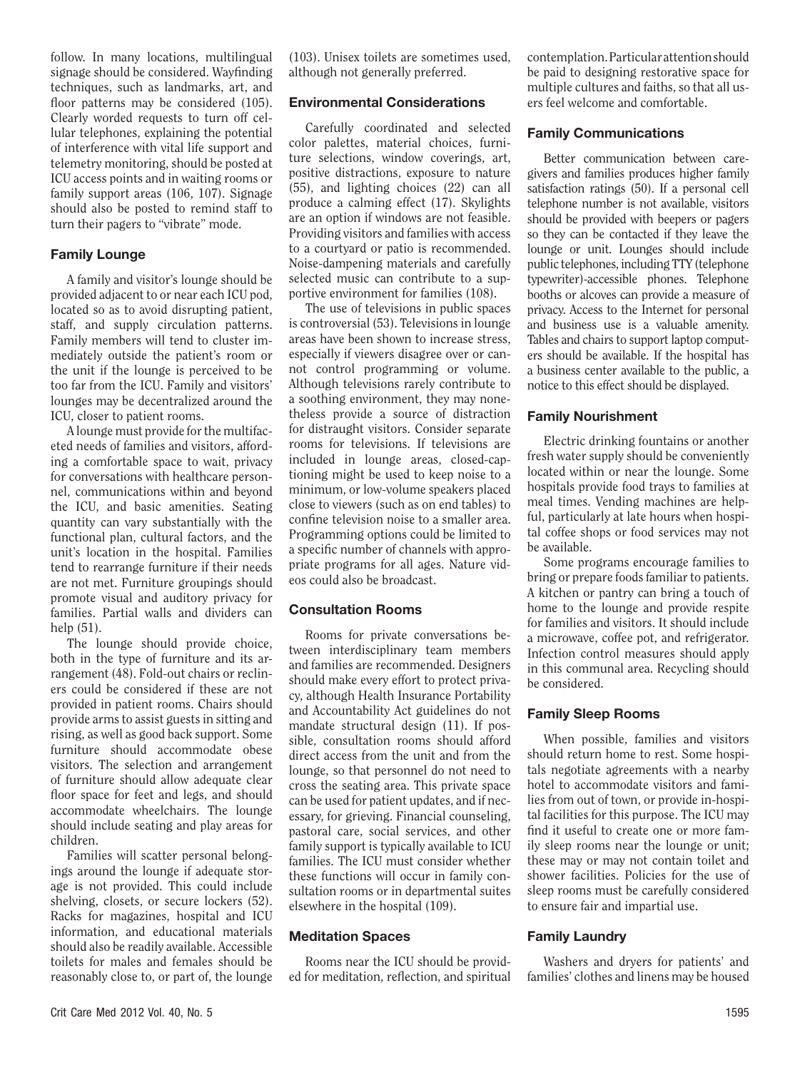follow. In many locations, multilingual signage should be considered. Wayfinding techniques, such as landmarks, art, and floor patterns may be considered (105). Clearly worded requests to turn off cellular telephones, explaining the potential of interference with vital life support and telemetry monitoring, should be posted at ICU access points and in waiting rooms or family support areas (106, 107). Signage should also be posted to remind staff to turn their pagers to "vibrate" mode.

#### Family Lounge

A family and visitor's lounge should be provided adjacent to or near each ICU pod, located so as to avoid disrupting patient, staff, and supply circulation patterns. Family members will tend to cluster immediately outside the patient's room or the unit if the lounge is perceived to be too far from the ICU. Family and visitors' lounges may be decentralized around the ICU, closer to patient rooms.

A lounge must provide for the multifaceted needs of families and visitors, affording a comfortable space to wait, privacy for conversations with healthcare personnel, communications within and beyond the ICU, and basic amenities. Seating quantity can vary substantially with the functional plan, cultural factors, and the unit's location in the hospital. Families tend to rearrange furniture if their needs are not met. Furniture groupings should promote visual and auditory privacy for families. Partial walls and dividers can help (51).

The lounge should provide choice, both in the type of furniture and its arrangement (48). Fold-out chairs or recliners could be considered if these are not provided in patient rooms. Chairs should provide arms to assist guests in sitting and rising, as well as good back support. Some furniture should accommodate obese visitors. The selection and arrangement of furniture should allow adequate clear floor space for feet and legs, and should accommodate wheelchairs. The lounge should include seating and play areas for children.

Families will scatter personal belongings around the lounge if adequate storage is not provided. This could include shelving, closets, or secure lockers (52). Racks for magazines, hospital and ICU information, and educational materials should also be readily available. Accessible toilets for males and females should be reasonably close to, or part of, the lounge (103). Unisex toilets are sometimes used, although not generally preferred.

# Environmental Considerations

Carefully coordinated and selected color palettes, material choices, furniture selections, window coverings, art, positive distractions, exposure to nature (55), and lighting choices (22) can all produce a calming effect (17). Skylights are an option if windows are not feasible. Providing visitors and families with access to a courtyard or patio is recommended. Noise-dampening materials and carefully selected music can contribute to a supportive environment for families (108).

The use of televisions in public spaces is controversial (53). Televisions in lounge areas have been shown to increase stress, especially if viewers disagree over or cannot control programming or volume. Although televisions rarely contribute to a soothing environment, they may nonetheless provide a source of distraction for distraught visitors. Consider separate rooms for televisions. If televisions are included in lounge areas, closed-captioning might be used to keep noise to a minimum, or low-volume speakers placed close to viewers (such as on end tables) to confine television noise to a smaller area. Programming options could be limited to a specific number of channels with appropriate programs for all ages. Nature videos could also be broadcast.

# Consultation Rooms

Rooms for private conversations between interdisciplinary team members and families are recommended. Designers should make every effort to protect privacy, although Health Insurance Portability and Accountability Act guidelines do not mandate structural design (11). If possible, consultation rooms should afford direct access from the unit and from the lounge, so that personnel do not need to cross the seating area. This private space can be used for patient updates, and if necessary, for grieving. Financial counseling, pastoral care, social services, and other family support is typically available to ICU families. The ICU must consider whether these functions will occur in family consultation rooms or in departmental suites elsewhere in the hospital (109).

# Meditation Spaces

Rooms near the ICU should be provided for meditation, reflection, and spiritual contemplation. Particular attention should be paid to designing restorative space for multiple cultures and faiths, so that all users feel welcome and comfortable.

#### Family Communications

Better communication between caregivers and families produces higher family satisfaction ratings (50). If a personal cell telephone number is not available, visitors should be provided with beepers or pagers so they can be contacted if they leave the lounge or unit. Lounges should include public telephones, including TTY (telephone typewriter)-accessible phones. Telephone booths or alcoves can provide a measure of privacy. Access to the Internet for personal and business use is a valuable amenity. Tables and chairs to support laptop computers should be available. If the hospital has a business center available to the public, a notice to this effect should be displayed.

# Family Nourishment

Electric drinking fountains or another fresh water supply should be conveniently located within or near the lounge. Some hospitals provide food trays to families at meal times. Vending machines are helpful, particularly at late hours when hospital coffee shops or food services may not be available.

Some programs encourage families to bring or prepare foods familiar to patients. A kitchen or pantry can bring a touch of home to the lounge and provide respite for families and visitors. It should include a microwave, coffee pot, and refrigerator. Infection control measures should apply in this communal area. Recycling should be considered.

# Family Sleep Rooms

When possible, families and visitors should return home to rest. Some hospitals negotiate agreements with a nearby hotel to accommodate visitors and families from out of town, or provide in-hospital facilities for this purpose. The ICU may find it useful to create one or more family sleep rooms near the lounge or unit; these may or may not contain toilet and shower facilities. Policies for the use of sleep rooms must be carefully considered to ensure fair and impartial use.

# Family Laundry

Washers and dryers for patients' and families' clothes and linens may be housed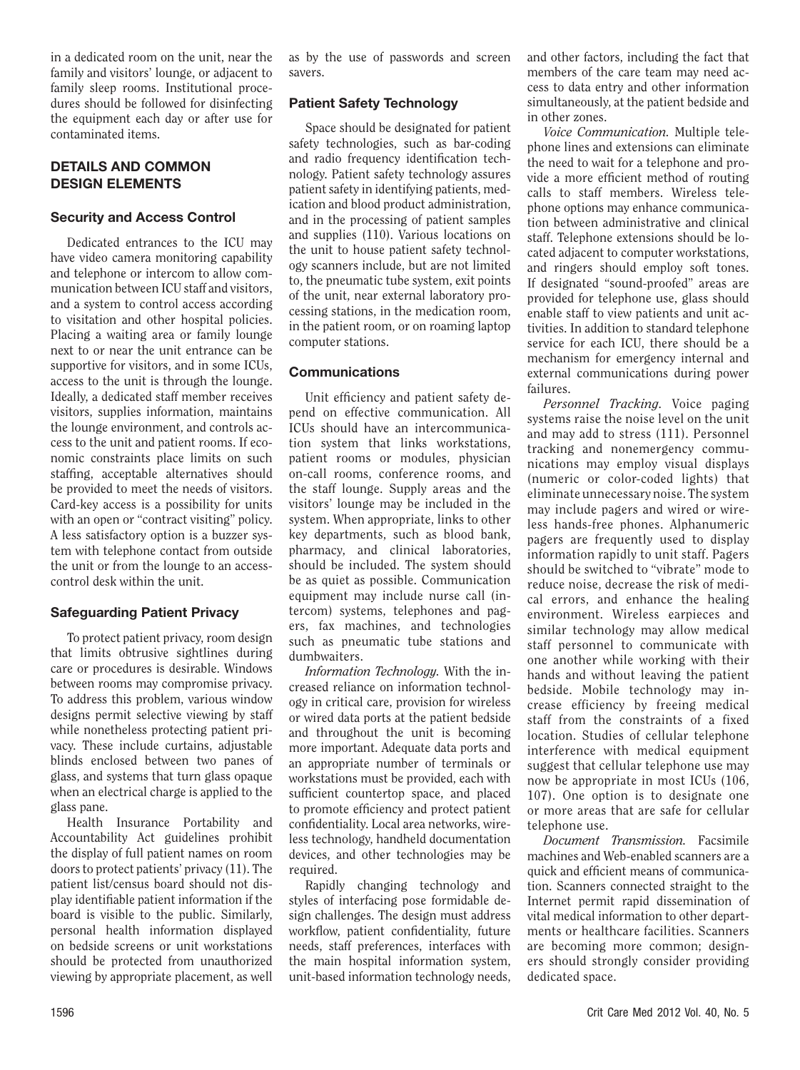in a dedicated room on the unit, near the family and visitors' lounge, or adjacent to family sleep rooms. Institutional procedures should be followed for disinfecting the equipment each day or after use for contaminated items.

# DETAILS AND COMMON DESIGN ELEMENTS

# Security and Access Control

Dedicated entrances to the ICU may have video camera monitoring capability and telephone or intercom to allow communication between ICU staff and visitors, and a system to control access according to visitation and other hospital policies. Placing a waiting area or family lounge next to or near the unit entrance can be supportive for visitors, and in some ICUs, access to the unit is through the lounge. Ideally, a dedicated staff member receives visitors, supplies information, maintains the lounge environment, and controls access to the unit and patient rooms. If economic constraints place limits on such staffing, acceptable alternatives should be provided to meet the needs of visitors. Card-key access is a possibility for units with an open or "contract visiting" policy. A less satisfactory option is a buzzer system with telephone contact from outside the unit or from the lounge to an accesscontrol desk within the unit.

# Safeguarding Patient Privacy

To protect patient privacy, room design that limits obtrusive sightlines during care or procedures is desirable. Windows between rooms may compromise privacy. To address this problem, various window designs permit selective viewing by staff while nonetheless protecting patient privacy. These include curtains, adjustable blinds enclosed between two panes of glass, and systems that turn glass opaque when an electrical charge is applied to the glass pane.

Health Insurance Portability and Accountability Act guidelines prohibit the display of full patient names on room doors to protect patients' privacy (11). The patient list/census board should not display identifiable patient information if the board is visible to the public. Similarly, personal health information displayed on bedside screens or unit workstations should be protected from unauthorized viewing by appropriate placement, as well

as by the use of passwords and screen savers.

# Patient Safety Technology

Space should be designated for patient safety technologies, such as bar-coding and radio frequency identification technology. Patient safety technology assures patient safety in identifying patients, medication and blood product administration, and in the processing of patient samples and supplies (110). Various locations on the unit to house patient safety technology scanners include, but are not limited to, the pneumatic tube system, exit points of the unit, near external laboratory processing stations, in the medication room, in the patient room, or on roaming laptop computer stations.

# Communications

Unit efficiency and patient safety depend on effective communication. All ICUs should have an intercommunication system that links workstations, patient rooms or modules, physician on-call rooms, conference rooms, and the staff lounge. Supply areas and the visitors' lounge may be included in the system. When appropriate, links to other key departments, such as blood bank, pharmacy, and clinical laboratories, should be included. The system should be as quiet as possible. Communication equipment may include nurse call (intercom) systems, telephones and pagers, fax machines, and technologies such as pneumatic tube stations and dumbwaiters.

*Information Technology.* With the increased reliance on information technology in critical care, provision for wireless or wired data ports at the patient bedside and throughout the unit is becoming more important. Adequate data ports and an appropriate number of terminals or workstations must be provided, each with sufficient countertop space, and placed to promote efficiency and protect patient confidentiality. Local area networks, wireless technology, handheld documentation devices, and other technologies may be required.

Rapidly changing technology and styles of interfacing pose formidable design challenges. The design must address workflow, patient confidentiality, future needs, staff preferences, interfaces with the main hospital information system, unit-based information technology needs, and other factors, including the fact that members of the care team may need access to data entry and other information simultaneously, at the patient bedside and in other zones.

*Voice Communication.* Multiple telephone lines and extensions can eliminate the need to wait for a telephone and provide a more efficient method of routing calls to staff members. Wireless telephone options may enhance communication between administrative and clinical staff. Telephone extensions should be located adjacent to computer workstations, and ringers should employ soft tones. If designated "sound-proofed" areas are provided for telephone use, glass should enable staff to view patients and unit activities. In addition to standard telephone service for each ICU, there should be a mechanism for emergency internal and external communications during power failures.

*Personnel Tracking.* Voice paging systems raise the noise level on the unit and may add to stress (111). Personnel tracking and nonemergency communications may employ visual displays (numeric or color-coded lights) that eliminate unnecessary noise. The system may include pagers and wired or wireless hands-free phones. Alphanumeric pagers are frequently used to display information rapidly to unit staff. Pagers should be switched to "vibrate" mode to reduce noise, decrease the risk of medical errors, and enhance the healing environment. Wireless earpieces and similar technology may allow medical staff personnel to communicate with one another while working with their hands and without leaving the patient bedside. Mobile technology may increase efficiency by freeing medical staff from the constraints of a fixed location. Studies of cellular telephone interference with medical equipment suggest that cellular telephone use may now be appropriate in most ICUs (106, 107). One option is to designate one or more areas that are safe for cellular telephone use.

*Document Transmission.* Facsimile machines and Web-enabled scanners are a quick and efficient means of communication. Scanners connected straight to the Internet permit rapid dissemination of vital medical information to other departments or healthcare facilities. Scanners are becoming more common; designers should strongly consider providing dedicated space.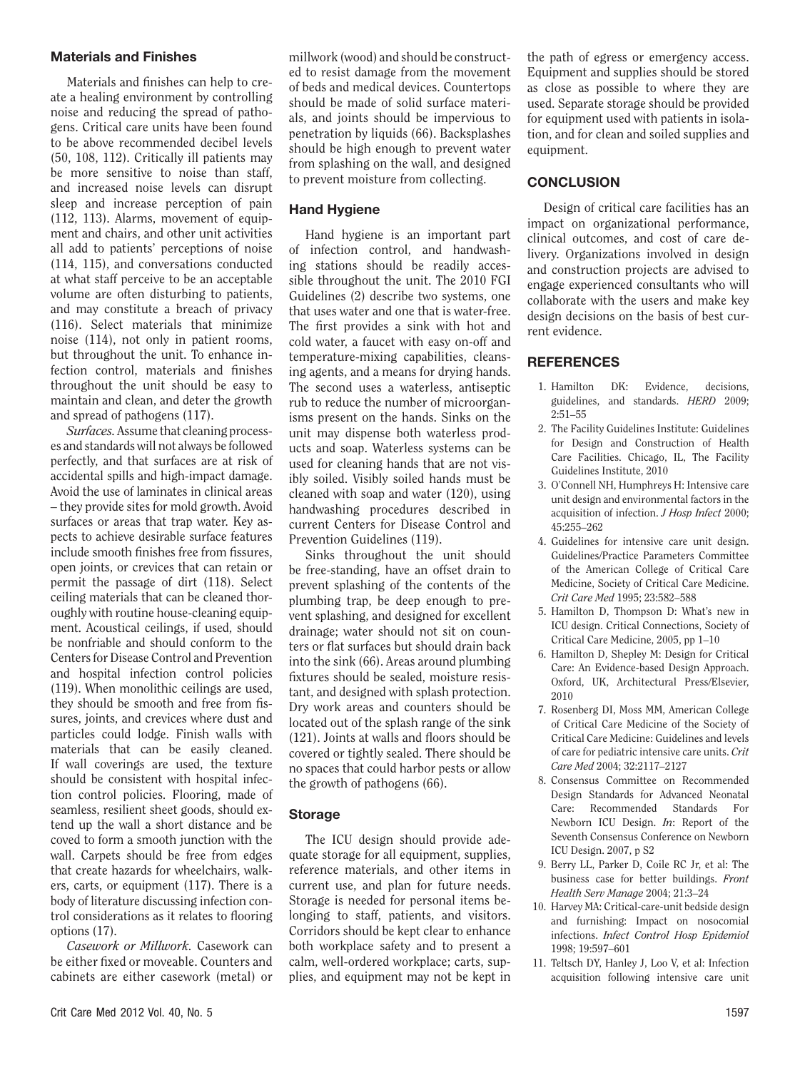#### Materials and Finishes

Materials and finishes can help to create a healing environment by controlling noise and reducing the spread of pathogens. Critical care units have been found to be above recommended decibel levels (50, 108, 112). Critically ill patients may be more sensitive to noise than staff, and increased noise levels can disrupt sleep and increase perception of pain (112, 113). Alarms, movement of equipment and chairs, and other unit activities all add to patients' perceptions of noise (114, 115), and conversations conducted at what staff perceive to be an acceptable volume are often disturbing to patients, and may constitute a breach of privacy (116). Select materials that minimize noise (114), not only in patient rooms, but throughout the unit. To enhance infection control, materials and finishes throughout the unit should be easy to maintain and clean, and deter the growth and spread of pathogens (117).

*Surfaces.* Assume that cleaning processes and standards will not always be followed perfectly, and that surfaces are at risk of accidental spills and high-impact damage. Avoid the use of laminates in clinical areas – they provide sites for mold growth. Avoid surfaces or areas that trap water. Key aspects to achieve desirable surface features include smooth finishes free from fissures, open joints, or crevices that can retain or permit the passage of dirt (118). Select ceiling materials that can be cleaned thoroughly with routine house-cleaning equipment. Acoustical ceilings, if used, should be nonfriable and should conform to the Centers for Disease Control and Prevention and hospital infection control policies (119). When monolithic ceilings are used, they should be smooth and free from fissures, joints, and crevices where dust and particles could lodge. Finish walls with materials that can be easily cleaned. If wall coverings are used, the texture should be consistent with hospital infection control policies. Flooring, made of seamless, resilient sheet goods, should extend up the wall a short distance and be coved to form a smooth junction with the wall. Carpets should be free from edges that create hazards for wheelchairs, walkers, carts, or equipment (117). There is a body of literature discussing infection control considerations as it relates to flooring options (17).

*Casework or Millwork.* Casework can be either fixed or moveable. Counters and cabinets are either casework (metal) or

# Hand Hygiene

Hand hygiene is an important part of infection control, and handwashing stations should be readily accessible throughout the unit. The 2010 FGI Guidelines (2) describe two systems, one that uses water and one that is water-free. The first provides a sink with hot and cold water, a faucet with easy on-off and temperature-mixing capabilities, cleansing agents, and a means for drying hands. The second uses a waterless, antiseptic rub to reduce the number of microorganisms present on the hands. Sinks on the unit may dispense both waterless products and soap. Waterless systems can be used for cleaning hands that are not visibly soiled. Visibly soiled hands must be cleaned with soap and water (120), using handwashing procedures described in current Centers for Disease Control and Prevention Guidelines (119).

Sinks throughout the unit should be free-standing, have an offset drain to prevent splashing of the contents of the plumbing trap, be deep enough to prevent splashing, and designed for excellent drainage; water should not sit on counters or flat surfaces but should drain back into the sink (66). Areas around plumbing fixtures should be sealed, moisture resistant, and designed with splash protection. Dry work areas and counters should be located out of the splash range of the sink (121). Joints at walls and floors should be covered or tightly sealed. There should be no spaces that could harbor pests or allow the growth of pathogens (66).

#### Storage

The ICU design should provide adequate storage for all equipment, supplies, reference materials, and other items in current use, and plan for future needs. Storage is needed for personal items belonging to staff, patients, and visitors. Corridors should be kept clear to enhance both workplace safety and to present a calm, well-ordered workplace; carts, supplies, and equipment may not be kept in the path of egress or emergency access. Equipment and supplies should be stored as close as possible to where they are used. Separate storage should be provided for equipment used with patients in isolation, and for clean and soiled supplies and equipment.

# **CONCLUSION**

Design of critical care facilities has an impact on organizational performance, clinical outcomes, and cost of care delivery. Organizations involved in design and construction projects are advised to engage experienced consultants who will collaborate with the users and make key design decisions on the basis of best current evidence.

# REFERENCES

- 1. Hamilton DK: Evidence, decisions, guidelines, and standards. *HERD* 2009; 2:51–55
- 2. The Facility Guidelines Institute: Guidelines for Design and Construction of Health Care Facilities. Chicago, IL, The Facility Guidelines Institute, 2010
- 3. O'Connell NH, Humphreys H: Intensive care unit design and environmental factors in the acquisition of infection. *J Hosp Infect* 2000; 45:255–262
- 4. Guidelines for intensive care unit design. Guidelines/Practice Parameters Committee of the American College of Critical Care Medicine, Society of Critical Care Medicine. *Crit Care Med* 1995; 23:582–588
- 5. Hamilton D, Thompson D: What's new in ICU design. Critical Connections, Society of Critical Care Medicine, 2005, pp 1–10
- 6. Hamilton D, Shepley M: Design for Critical Care: An Evidence-based Design Approach. Oxford, UK, Architectural Press/Elsevier, 2010
- 7. Rosenberg DI, Moss MM, American College of Critical Care Medicine of the Society of Critical Care Medicine: Guidelines and levels of care for pediatric intensive care units. *Crit Care Med* 2004; 32:2117–2127
- 8. Consensus Committee on Recommended Design Standards for Advanced Neonatal Care: Recommended Standards For Newborn ICU Design. *In*: Report of the Seventh Consensus Conference on Newborn ICU Design. 2007, p S2
- 9. Berry LL, Parker D, Coile RC Jr, et al: The business case for better buildings. *Front Health Serv Manage* 2004; 21:3–24
- 10. Harvey MA: Critical-care-unit bedside design and furnishing: Impact on nosocomial infections. *Infect Control Hosp Epidemiol* 1998; 19:597–601
- 11. Teltsch DY, Hanley J, Loo V, et al: Infection acquisition following intensive care unit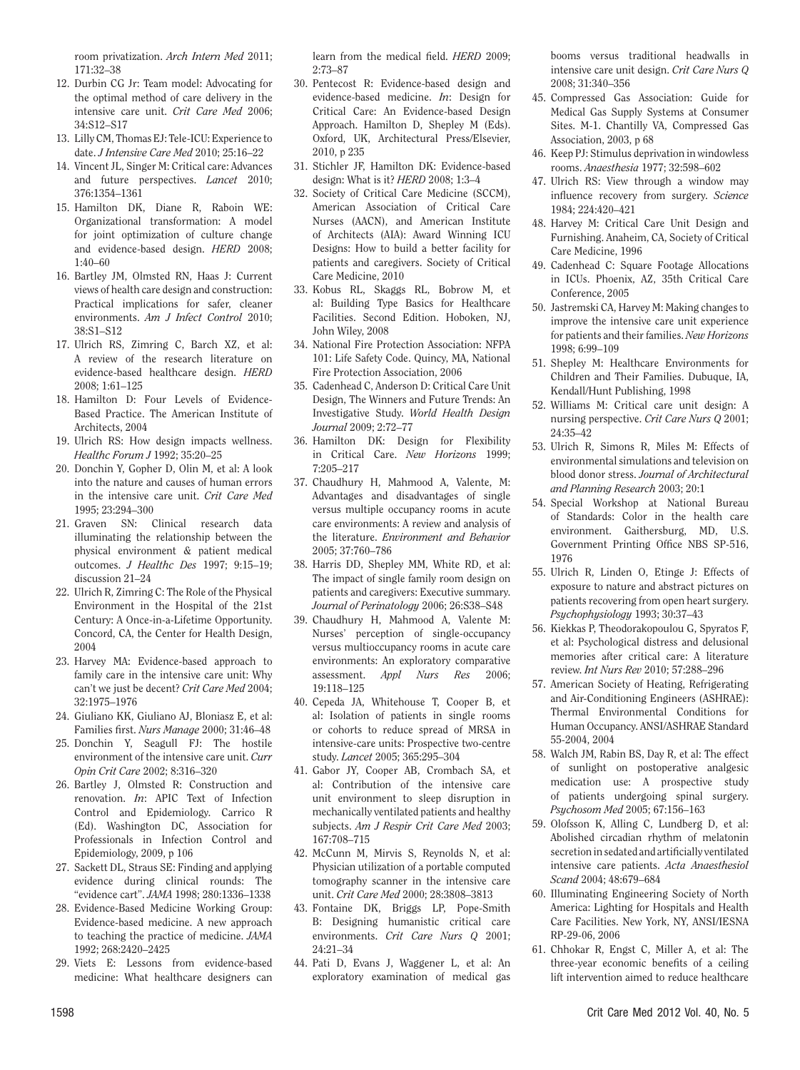room privatization. *Arch Intern Med* 2011; 171:32–38

- 12. Durbin CG Jr: Team model: Advocating for the optimal method of care delivery in the intensive care unit. *Crit Care Med* 2006; 34:S12–S17
- 13. Lilly CM, Thomas EJ: Tele-ICU: Experience to date. *J Intensive Care Med* 2010; 25:16–22
- 14. Vincent JL, Singer M: Critical care: Advances and future perspectives. *Lancet* 2010; 376:1354–1361
- 15. Hamilton DK, Diane R, Raboin WE: Organizational transformation: A model for joint optimization of culture change and evidence-based design. *HERD* 2008; 1:40–60
- 16. Bartley JM, Olmsted RN, Haas J: Current views of health care design and construction: Practical implications for safer, cleaner environments. *Am J Infect Control* 2010; 38:S1–S12
- 17. Ulrich RS, Zimring C, Barch XZ, et al: A review of the research literature on evidence-based healthcare design. *HERD* 2008; 1:61–125
- 18. Hamilton D: Four Levels of Evidence-Based Practice. The American Institute of Architects, 2004
- 19. Ulrich RS: How design impacts wellness. *Healthc Forum J* 1992; 35:20–25
- 20. Donchin Y, Gopher D, Olin M, et al: A look into the nature and causes of human errors in the intensive care unit. *Crit Care Med* 1995; 23:294–300
- 21. Graven SN: Clinical research data illuminating the relationship between the physical environment & patient medical outcomes. *J Healthc Des* 1997; 9:15–19; discussion 21–24
- 22. Ulrich R, Zimring C: The Role of the Physical Environment in the Hospital of the 21st Century: A Once-in-a-Lifetime Opportunity. Concord, CA, the Center for Health Design, 2004
- 23. Harvey MA: Evidence-based approach to family care in the intensive care unit: Why can't we just be decent? *Crit Care Med* 2004; 32:1975–1976
- 24. Giuliano KK, Giuliano AJ, Bloniasz E, et al: Families first. *Nurs Manage* 2000; 31:46–48
- 25. Donchin Y, Seagull FJ: The hostile environment of the intensive care unit. *Curr Opin Crit Care* 2002; 8:316–320
- 26. Bartley J, Olmsted R: Construction and renovation. *In*: APIC Text of Infection Control and Epidemiology. Carrico R (Ed). Washington DC, Association for Professionals in Infection Control and Epidemiology, 2009, p 106
- 27. Sackett DL, Straus SE: Finding and applying evidence during clinical rounds: The "evidence cart". *JAMA* 1998; 280:1336–1338
- 28. Evidence-Based Medicine Working Group: Evidence-based medicine. A new approach to teaching the practice of medicine. *JAMA* 1992; 268:2420–2425
- 29. Viets E: Lessons from evidence-based medicine: What healthcare designers can

learn from the medical field. *HERD* 2009; 2:73–87

- 30. Pentecost R: Evidence-based design and evidence-based medicine. *In*: Design for Critical Care: An Evidence-based Design Approach. Hamilton D, Shepley M (Eds). Oxford, UK, Architectural Press/Elsevier, 2010, p 235
- 31. Stichler JF, Hamilton DK: Evidence-based design: What is it? *HERD* 2008; 1:3–4
- 32. Society of Critical Care Medicine (SCCM), American Association of Critical Care Nurses (AACN), and American Institute of Architects (AIA): Award Winning ICU Designs: How to build a better facility for patients and caregivers. Society of Critical Care Medicine, 2010
- 33. Kobus RL, Skaggs RL, Bobrow M, et al: Building Type Basics for Healthcare Facilities. Second Edition. Hoboken, NJ, John Wiley, 2008
- 34. National Fire Protection Association: NFPA 101: Life Safety Code. Quincy, MA, National Fire Protection Association, 2006
- 35. Cadenhead C, Anderson D: Critical Care Unit Design, The Winners and Future Trends: An Investigative Study. *World Health Design Journal* 2009; 2:72–77
- 36. Hamilton DK: Design for Flexibility in Critical Care. *New Horizons* 1999; 7:205–217
- 37. Chaudhury H, Mahmood A, Valente, M: Advantages and disadvantages of single versus multiple occupancy rooms in acute care environments: A review and analysis of the literature. *Environment and Behavior* 2005; 37:760–786
- 38. Harris DD, Shepley MM, White RD, et al: The impact of single family room design on patients and caregivers: Executive summary. *Journal of Perinatology* 2006; 26:S38–S48
- 39. Chaudhury H, Mahmood A, Valente M: Nurses' perception of single-occupancy versus multioccupancy rooms in acute care environments: An exploratory comparative assessment. *Appl Nurs Res* 2006; 19:118–125
- 40. Cepeda JA, Whitehouse T, Cooper B, et al: Isolation of patients in single rooms or cohorts to reduce spread of MRSA in intensive-care units: Prospective two-centre study. *Lancet* 2005; 365:295–304
- 41. Gabor JY, Cooper AB, Crombach SA, et al: Contribution of the intensive care unit environment to sleep disruption in mechanically ventilated patients and healthy subjects. *Am J Respir Crit Care Med* 2003; 167:708–715
- 42. McCunn M, Mirvis S, Reynolds N, et al: Physician utilization of a portable computed tomography scanner in the intensive care unit. *Crit Care Med* 2000; 28:3808–3813
- 43. Fontaine DK, Briggs LP, Pope-Smith B: Designing humanistic critical care environments. *Crit Care Nurs Q* 2001; 24:21–34
- 44. Pati D, Evans J, Waggener L, et al: An exploratory examination of medical gas

booms versus traditional headwalls in intensive care unit design. *Crit Care Nurs Q* 2008; 31:340–356

- 45. Compressed Gas Association: Guide for Medical Gas Supply Systems at Consumer Sites. M-1. Chantilly VA, Compressed Gas Association, 2003, p 68
- 46. Keep PJ: Stimulus deprivation in windowless rooms. *Anaesthesia* 1977; 32:598–602
- 47. Ulrich RS: View through a window may influence recovery from surgery. *Science* 1984; 224:420–421
- 48. Harvey M: Critical Care Unit Design and Furnishing. Anaheim, CA, Society of Critical Care Medicine, 1996
- 49. Cadenhead C: Square Footage Allocations in ICUs. Phoenix, AZ, 35th Critical Care Conference, 2005
- 50. Jastremski CA, Harvey M: Making changes to improve the intensive care unit experience for patients and their families. *New Horizons* 1998; 6:99–109
- 51. Shepley M: Healthcare Environments for Children and Their Families. Dubuque, IA, Kendall/Hunt Publishing, 1998
- 52. Williams M: Critical care unit design: A nursing perspective. *Crit Care Nurs Q* 2001; 24:35–42
- 53. Ulrich R, Simons R, Miles M: Effects of environmental simulations and television on blood donor stress. *Journal of Architectural and Planning Research* 2003; 20:1
- 54. Special Workshop at National Bureau of Standards: Color in the health care environment. Gaithersburg, MD, U.S. Government Printing Office NBS SP-516, 1976
- 55. Ulrich R, Linden O, Etinge J: Effects of exposure to nature and abstract pictures on patients recovering from open heart surgery. *Psychophysiology* 1993; 30:37–43
- 56. Kiekkas P, Theodorakopoulou G, Spyratos F, et al: Psychological distress and delusional memories after critical care: A literature review. *Int Nurs Rev* 2010; 57:288–296
- 57. American Society of Heating, Refrigerating and Air-Conditioning Engineers (ASHRAE): Thermal Environmental Conditions for Human Occupancy. ANSI/ASHRAE Standard 55-2004, 2004
- 58. Walch JM, Rabin BS, Day R, et al: The effect of sunlight on postoperative analgesic medication use: A prospective study of patients undergoing spinal surgery. *Psychosom Med* 2005; 67:156–163
- 59. Olofsson K, Alling C, Lundberg D, et al: Abolished circadian rhythm of melatonin secretion in sedated and artificially ventilated intensive care patients. *Acta Anaesthesiol Scand* 2004; 48:679–684
- 60. Illuminating Engineering Society of North America: Lighting for Hospitals and Health Care Facilities. New York, NY, ANSI/IESNA RP-29-06, 2006
- 61. Chhokar R, Engst C, Miller A, et al: The three-year economic benefits of a ceiling lift intervention aimed to reduce healthcare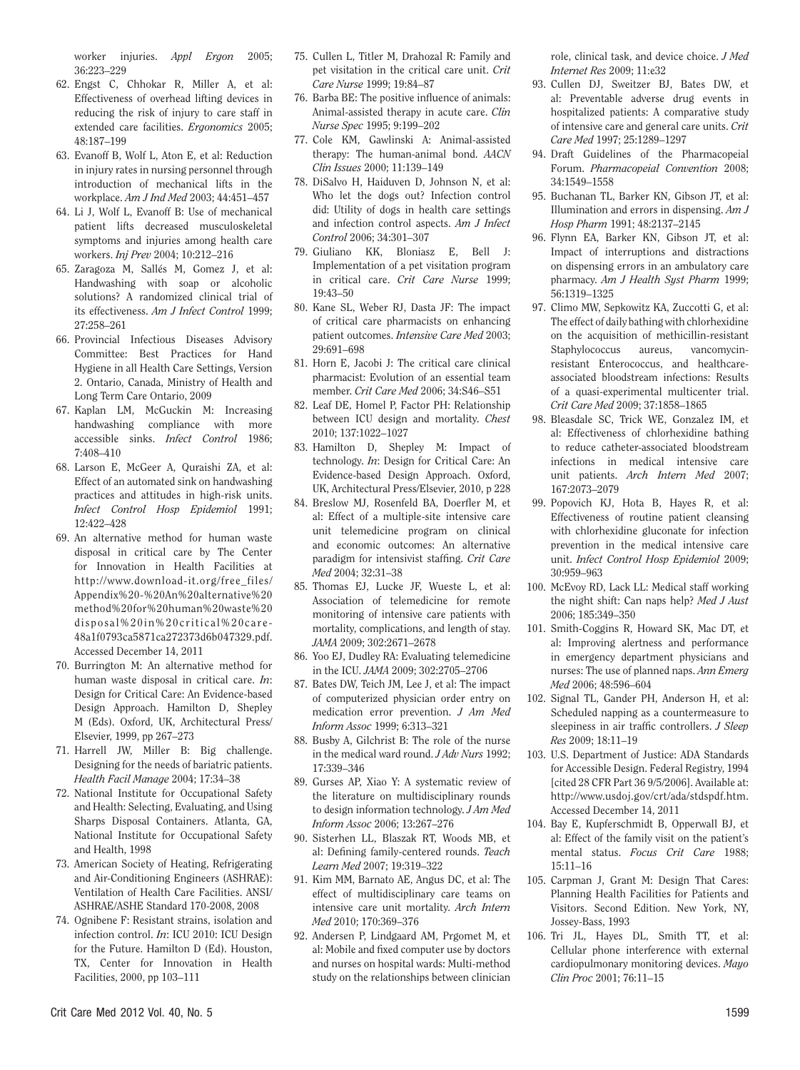worker injuries. *Appl Ergon* 2005; 36:223–229

- 62. Engst C, Chhokar R, Miller A, et al: Effectiveness of overhead lifting devices in reducing the risk of injury to care staff in extended care facilities. *Ergonomics* 2005; 48:187–199
- 63. Evanoff B, Wolf L, Aton E, et al: Reduction in injury rates in nursing personnel through introduction of mechanical lifts in the workplace. *Am J Ind Med* 2003; 44:451–457
- 64. Li J, Wolf L, Evanoff B: Use of mechanical patient lifts decreased musculoskeletal symptoms and injuries among health care workers. *Inj Prev* 2004; 10:212–216
- 65. Zaragoza M, Sallés M, Gomez J, et al: Handwashing with soap or alcoholic solutions? A randomized clinical trial of its effectiveness. *Am J Infect Control* 1999; 27:258–261
- 66. Provincial Infectious Diseases Advisory Committee: Best Practices for Hand Hygiene in all Health Care Settings, Version 2. Ontario, Canada, Ministry of Health and Long Term Care Ontario, 2009
- 67. Kaplan LM, McGuckin M: Increasing handwashing compliance with more accessible sinks. *Infect Control* 1986; 7:408–410
- 68. Larson E, McGeer A, Quraishi ZA, et al: Effect of an automated sink on handwashing practices and attitudes in high-risk units. *Infect Control Hosp Epidemiol* 1991; 12:422–428
- 69. An alternative method for human waste disposal in critical care by The Center for Innovation in Health Facilities at [http://www.download-it.org/free\\_files/](http://www.download-it.org/free_files/Appendix%20-%20An%20alternative%20method%20for%20human%20waste%20disposal%20in%20cri tical%20care-48a1f0793ca5871ca272373d6b047329.pdf) [Appendix%20-%20An%20alternative%20](http://www.download-it.org/free_files/Appendix%20-%20An%20alternative%20method%20for%20human%20waste%20disposal%20in%20cri tical%20care-48a1f0793ca5871ca272373d6b047329.pdf) [method%20for%20human%20waste%20](http://www.download-it.org/free_files/Appendix%20-%20An%20alternative%20method%20for%20human%20waste%20disposal%20in%20cri tical%20care-48a1f0793ca5871ca272373d6b047329.pdf) [disposal%20in%20critical%20care-](http://www.download-it.org/free_files/Appendix%20-%20An%20alternative%20method%20for%20human%20waste%20disposal%20in%20cri tical%20care-48a1f0793ca5871ca272373d6b047329.pdf)[48a1f0793ca5871ca272373d6b047329.pdf](http://www.download-it.org/free_files/Appendix%20-%20An%20alternative%20method%20for%20human%20waste%20disposal%20in%20cri tical%20care-48a1f0793ca5871ca272373d6b047329.pdf). Accessed December 14, 2011
- 70. Burrington M: An alternative method for human waste disposal in critical care. *In*: Design for Critical Care: An Evidence-based Design Approach. Hamilton D, Shepley M (Eds). Oxford, UK, Architectural Press/ Elsevier, 1999, pp 267–273
- 71. Harrell JW, Miller B: Big challenge. Designing for the needs of bariatric patients. *Health Facil Manage* 2004; 17:34–38
- 72. National Institute for Occupational Safety and Health: Selecting, Evaluating, and Using Sharps Disposal Containers. Atlanta, GA, National Institute for Occupational Safety and Health, 1998
- 73. American Society of Heating, Refrigerating and Air-Conditioning Engineers (ASHRAE): Ventilation of Health Care Facilities. ANSI/ ASHRAE/ASHE Standard 170-2008, 2008
- 74. Ognibene F: Resistant strains, isolation and infection control. *In*: ICU 2010: ICU Design for the Future. Hamilton D (Ed). Houston, TX, Center for Innovation in Health Facilities, 2000, pp 103–111
- 75. Cullen L, Titler M, Drahozal R: Family and pet visitation in the critical care unit. *Crit Care Nurse* 1999; 19:84–87
- 76. Barba BE: The positive influence of animals: Animal-assisted therapy in acute care. *Clin Nurse Spec* 1995; 9:199–202
- 77. Cole KM, Gawlinski A: Animal-assisted therapy: The human-animal bond. *AACN Clin Issues* 2000; 11:139–149
- 78. DiSalvo H, Haiduven D, Johnson N, et al: Who let the dogs out? Infection control did: Utility of dogs in health care settings and infection control aspects. *Am J Infect Control* 2006; 34:301–307
- 79. Giuliano KK, Bloniasz E, Bell J: Implementation of a pet visitation program in critical care. *Crit Care Nurse* 1999; 19:43–50
- 80. Kane SL, Weber RJ, Dasta JF: The impact of critical care pharmacists on enhancing patient outcomes. *Intensive Care Med* 2003; 29:691–698
- 81. Horn E, Jacobi J: The critical care clinical pharmacist: Evolution of an essential team member. *Crit Care Med* 2006; 34:S46–S51
- 82. Leaf DE, Homel P, Factor PH: Relationship between ICU design and mortality. *Chest* 2010; 137:1022–1027
- 83. Hamilton D, Shepley M: Impact of technology. *In*: Design for Critical Care: An Evidence-based Design Approach. Oxford, UK, Architectural Press/Elsevier, 2010, p 228
- 84. Breslow MJ, Rosenfeld BA, Doerfler M, et al: Effect of a multiple-site intensive care unit telemedicine program on clinical and economic outcomes: An alternative paradigm for intensivist staffing. *Crit Care Med* 2004; 32:31–38
- 85. Thomas EJ, Lucke JF, Wueste L, et al: Association of telemedicine for remote monitoring of intensive care patients with mortality, complications, and length of stay. *JAMA* 2009; 302:2671–2678
- 86. Yoo EJ, Dudley RA: Evaluating telemedicine in the ICU. *JAMA* 2009; 302:2705–2706
- 87. Bates DW, Teich JM, Lee J, et al: The impact of computerized physician order entry on medication error prevention. *J Am Med Inform Assoc* 1999; 6:313–321
- 88. Busby A, Gilchrist B: The role of the nurse in the medical ward round. *J Adv Nurs* 1992; 17:339–346
- 89. Gurses AP, Xiao Y: A systematic review of the literature on multidisciplinary rounds to design information technology. *J Am Med Inform Assoc* 2006; 13:267–276
- 90. Sisterhen LL, Blaszak RT, Woods MB, et al: Defining family-centered rounds. *Teach Learn Med* 2007; 19:319–322
- 91. Kim MM, Barnato AE, Angus DC, et al: The effect of multidisciplinary care teams on intensive care unit mortality. *Arch Intern Med* 2010; 170:369–376
- 92. Andersen P, Lindgaard AM, Prgomet M, et al: Mobile and fixed computer use by doctors and nurses on hospital wards: Multi-method study on the relationships between clinician

role, clinical task, and device choice. *J Med Internet Res* 2009; 11:e32

- 93. Cullen DJ, Sweitzer BJ, Bates DW, et al: Preventable adverse drug events in hospitalized patients: A comparative study of intensive care and general care units. *Crit Care Med* 1997; 25:1289–1297
- 94. Draft Guidelines of the Pharmacopeial Forum. *Pharmacopeial Convention* 2008; 34:1549–1558
- 95. Buchanan TL, Barker KN, Gibson JT, et al: Illumination and errors in dispensing. *Am J Hosp Pharm* 1991; 48:2137–2145
- 96. Flynn EA, Barker KN, Gibson JT, et al: Impact of interruptions and distractions on dispensing errors in an ambulatory care pharmacy. *Am J Health Syst Pharm* 1999; 56:1319–1325
- 97. Climo MW, Sepkowitz KA, Zuccotti G, et al: The effect of daily bathing with chlorhexidine on the acquisition of methicillin-resistant Staphylococcus aureus, vancomycinresistant Enterococcus, and healthcareassociated bloodstream infections: Results of a quasi-experimental multicenter trial. *Crit Care Med* 2009; 37:1858–1865
- 98. Bleasdale SC, Trick WE, Gonzalez IM, et al: Effectiveness of chlorhexidine bathing to reduce catheter-associated bloodstream infections in medical intensive care unit patients. *Arch Intern Med* 2007; 167:2073–2079
- 99. Popovich KJ, Hota B, Hayes R, et al: Effectiveness of routine patient cleansing with chlorhexidine gluconate for infection prevention in the medical intensive care unit. *Infect Control Hosp Epidemiol* 2009; 30:959–963
- 100. McEvoy RD, Lack LL: Medical staff working the night shift: Can naps help? *Med J Aust* 2006; 185:349–350
- 101. Smith-Coggins R, Howard SK, Mac DT, et al: Improving alertness and performance in emergency department physicians and nurses: The use of planned naps. *Ann Emerg Med* 2006; 48:596–604
- 102. Signal TL, Gander PH, Anderson H, et al: Scheduled napping as a countermeasure to sleepiness in air traffic controllers. *J Sleep Res* 2009; 18:11–19
- 103. U.S. Department of Justice: ADA Standards for Accessible Design. Federal Registry, 1994 [cited 28 CFR Part 36 9/5/2006]. Available at: http://www.usdoj.gov/crt/ada/stdspdf.htm. Accessed December 14, 2011
- 104. Bay E, Kupferschmidt B, Opperwall BJ, et al: Effect of the family visit on the patient's mental status. *Focus Crit Care* 1988; 15:11–16
- 105. Carpman J, Grant M: Design That Cares: Planning Health Facilities for Patients and Visitors. Second Edition. New York, NY, Jossey-Bass, 1993
- 106. Tri JL, Hayes DL, Smith TT, et al: Cellular phone interference with external cardiopulmonary monitoring devices. *Mayo Clin Proc* 2001; 76:11–15